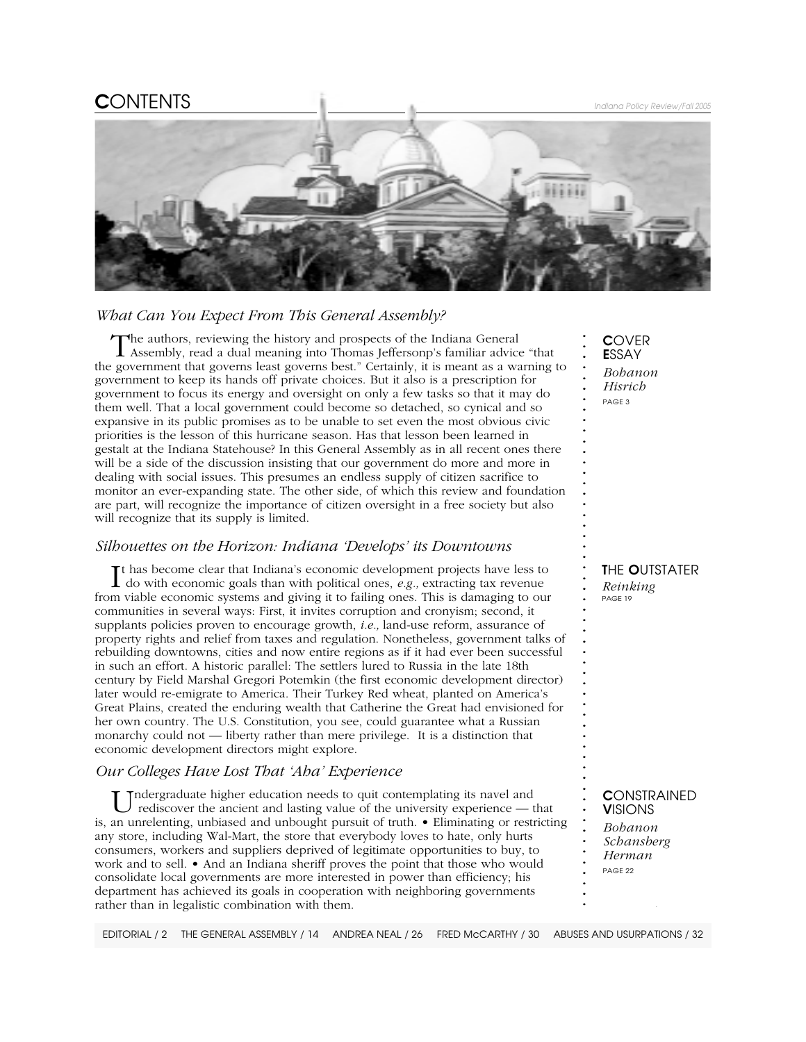# C*ONTENTS Indiana Policy Review/Fall 2005*



## *What Can You Expect From This General Assembly?*

The authors, reviewing the history and prospects of the Indiana General Assembly, read a dual meaning into Thomas Jeffersonp's familiar advice "that the government that governs least governs best." Certainly, it is meant as a warning to government to keep its hands off private choices. But it also is a prescription for government to focus its energy and oversight on only a few tasks so that it may do them well. That a local government could become so detached, so cynical and so expansive in its public promises as to be unable to set even the most obvious civic priorities is the lesson of this hurricane season. Has that lesson been learned in gestalt at the Indiana Statehouse? In this General Assembly as in all recent ones there will be a side of the discussion insisting that our government do more and more in dealing with social issues. This presumes an endless supply of citizen sacrifice to monitor an ever-expanding state. The other side, of which this review and foundation are part, will recognize the importance of citizen oversight in a free society but also will recognize that its supply is limited.

### *Silhouettes on the Horizon: Indiana 'Develops' its Downtowns*

It has become clear that Indiana's economic development projects have less to do with economic goals than with political ones,  $e.g.,$  extracting tax revenue t has become clear that Indiana's economic development projects have less to from viable economic systems and giving it to failing ones. This is damaging to our communities in several ways: First, it invites corruption and cronyism; second, it supplants policies proven to encourage growth, *i.e.,* land-use reform, assurance of property rights and relief from taxes and regulation. Nonetheless, government talks of rebuilding downtowns, cities and now entire regions as if it had ever been successful in such an effort. A historic parallel: The settlers lured to Russia in the late 18th century by Field Marshal Gregori Potemkin (the first economic development director) later would re-emigrate to America. Their Turkey Red wheat, planted on America's Great Plains, created the enduring wealth that Catherine the Great had envisioned for her own country. The U.S. Constitution, you see, could guarantee what a Russian monarchy could not — liberty rather than mere privilege. It is a distinction that economic development directors might explore.

### *Our Colleges Have Lost That 'Aha' Experience*

Indergraduate higher education needs to quit contemplating its navel and rediscover the ancient and lasting value of the university experience — that is, an unrelenting, unbiased and unbought pursuit of truth. • Eliminating or restricting any store, including Wal-Mart, the store that everybody loves to hate, only hurts consumers, workers and suppliers deprived of legitimate opportunities to buy, to work and to sell. • And an Indiana sheriff proves the point that those who would consolidate local governments are more interested in power than efficiency; his department has achieved its goals in cooperation with neighboring governments rather than in legalistic combination with them.

C*OVER* E*SSAY Bohanon Hisrich PAGE 3*

**. . . . . . . . . . . . . . . . . . . . . . . . . . . . . . . . . . . . . . . . . . . . . . . . . . . . . . .**

T*HE* O*UTSTATER Reinking*

*PAGE 19*

### C*ONSTRAINED* V*ISIONS*

*Bohanon Schansberg Herman PAGE 22*

**.** *Indiana Policy Review*

*EDITORIAL / 2 THE GENERAL ASSEMBLY / 14 ANDREA NEAL / 26 FRED McCARTHY / 30 ABUSES AND USURPATIONS / 32*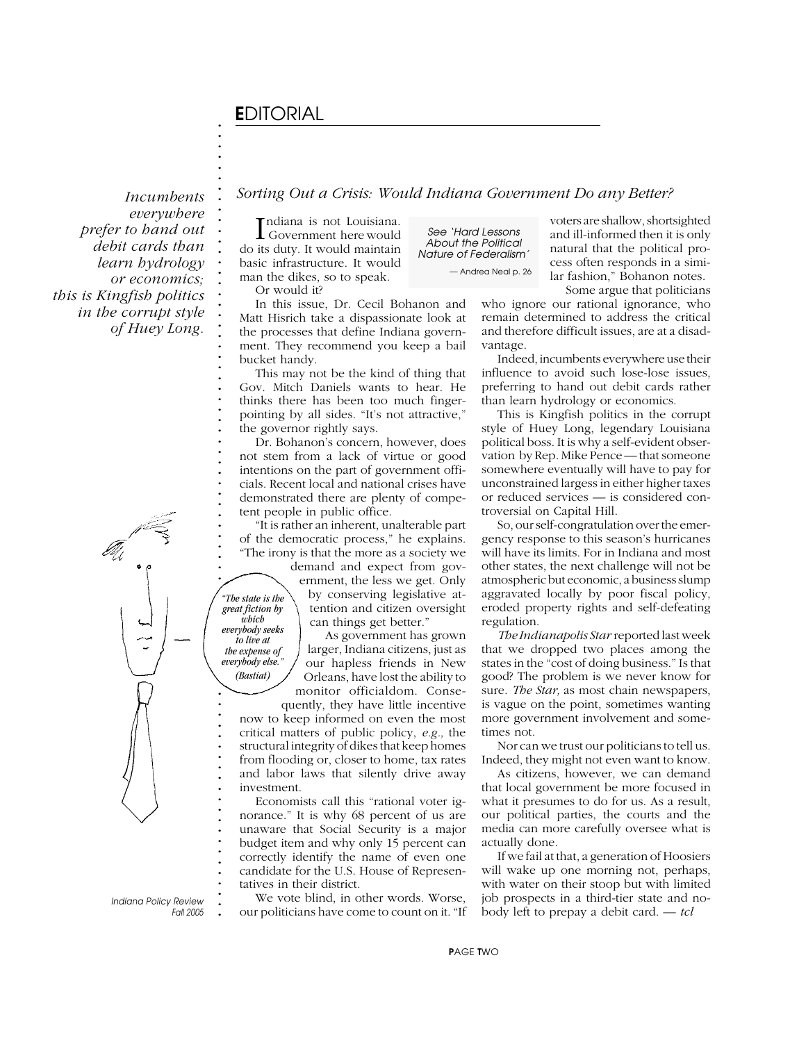# E*DITORIAL*

**. . . . . . . . . . . . . . . . . . . . . . . . . . . . . . . . . . .**

*Incumbents everywhere prefer to hand out debit cards than learn hydrology or economics; this is Kingfish politics in the corrupt style of Huey Long.*

> **. . . . . . . . . . .** *great fiction by* **. .** *everybody seeks* **.** *everybody else." "The state is the which to live at the expense of*

**. . . . . . . . . . . . . . . . . . . . . . .**

*(Bastiat)*

**.** *Indiana Policy Review Fall 2005* *Sorting Out a Crisis: Would Indiana Government Do any Better?*

Indiana is not Louisiana.<br>
Government here would ndiana is not Louisiana. do its duty. It would maintain basic infrastructure. It would man the dikes, so to speak. Or would it?

In this issue, Dr. Cecil Bohanon and Matt Hisrich take a dispassionate look at the processes that define Indiana government. They recommend you keep a bail bucket handy.

This may not be the kind of thing that Gov. Mitch Daniels wants to hear. He thinks there has been too much fingerpointing by all sides. "It's not attractive," the governor rightly says.

Dr. Bohanon's concern, however, does not stem from a lack of virtue or good intentions on the part of government officials. Recent local and national crises have demonstrated there are plenty of competent people in public office.

"It is rather an inherent, unalterable part of the democratic process," he explains. "The irony is that the more as a society we

demand and expect from government, the less we get. Only by conserving legislative attention and citizen oversight can things get better."

As government has grown larger, Indiana citizens, just as our hapless friends in New Orleans, have lost the ability to monitor officialdom. Conse-

quently, they have little incentive now to keep informed on even the most critical matters of public policy, *e.g.,* the structural integrity of dikes that keep homes from flooding or, closer to home, tax rates and labor laws that silently drive away investment.

Economists call this "rational voter ignorance." It is why 68 percent of us are unaware that Social Security is a major budget item and why only 15 percent can correctly identify the name of even one candidate for the U.S. House of Representatives in their district.

We vote blind, in other words. Worse, our politicians have come to count on it. "If

*See 'Hard Lessons About the Political Nature of Federalism' — Andrea Neal p. 26* voters are shallow, shortsighted and ill-informed then it is only natural that the political process often responds in a similar fashion," Bohanon notes.

Some argue that politicians who ignore our rational ignorance, who remain determined to address the critical and therefore difficult issues, are at a disadvantage.

Indeed, incumbents everywhere use their influence to avoid such lose-lose issues, preferring to hand out debit cards rather than learn hydrology or economics.

This is Kingfish politics in the corrupt style of Huey Long, legendary Louisiana political boss. It is why a self-evident observation by Rep. Mike Pence — that someone somewhere eventually will have to pay for unconstrained largess in either higher taxes or reduced services — is considered controversial on Capital Hill.

So, our self-congratulation over the emergency response to this season's hurricanes will have its limits. For in Indiana and most other states, the next challenge will not be atmospheric but economic, a business slump aggravated locally by poor fiscal policy, eroded property rights and self-defeating regulation.

*The Indianapolis Star* reported last week that we dropped two places among the states in the "cost of doing business." Is that good? The problem is we never know for sure. *The Star,* as most chain newspapers, is vague on the point, sometimes wanting more government involvement and sometimes not.

Nor can we trust our politicians to tell us. Indeed, they might not even want to know.

As citizens, however, we can demand that local government be more focused in what it presumes to do for us. As a result, our political parties, the courts and the media can more carefully oversee what is actually done.

If we fail at that, a generation of Hoosiers will wake up one morning not, perhaps, with water on their stoop but with limited job prospects in a third-tier state and nobody left to prepay a debit card. — *tcl*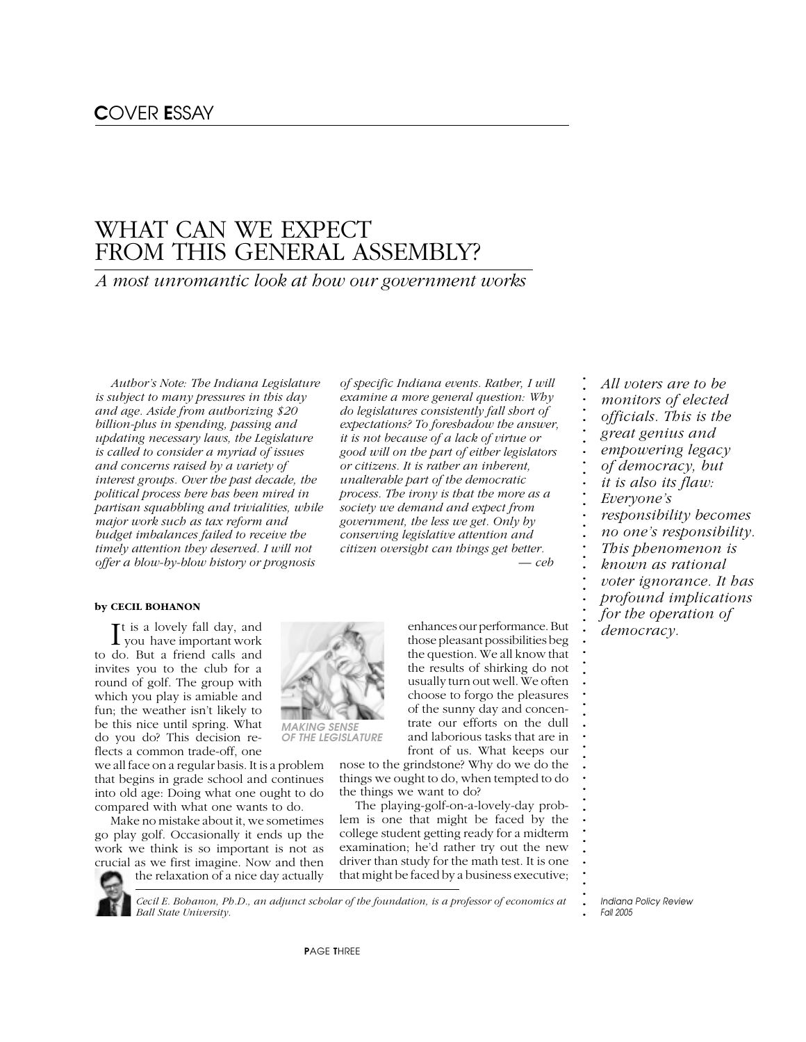# WHAT CAN WE EXPECT FROM THIS GENERAL ASSEMBLY?

## *A most unromantic look at how our government works*

*Author's Note: The Indiana Legislature is subject to many pressures in this day and age. Aside from authorizing \$20 billion-plus in spending, passing and updating necessary laws, the Legislature is called to consider a myriad of issues and concerns raised by a variety of interest groups. Over the past decade, the political process here has been mired in partisan squabbling and trivialities, while major work such as tax reform and budget imbalances failed to receive the timely attention they deserved. I will not offer a blow-by-blow history or prognosis*

### **by CECIL BOHANON**

It is a lovely fall day, and<br>you have important work you have important work to do. But a friend calls and invites you to the club for a round of golf. The group with which you play is amiable and fun; the weather isn't likely to be this nice until spring. What do you do? This decision reflects a common trade-off, one

we all face on a regular basis. It is a problem that begins in grade school and continues into old age: Doing what one ought to do compared with what one wants to do.

Make no mistake about it, we sometimes go play golf. Occasionally it ends up the work we think is so important is not as crucial as we first imagine. Now and then the relaxation of a nice day actually

*Ball State University.*

*of specific Indiana events. Rather, I will examine a more general question: Why do legislatures consistently fall short of expectations? To foreshadow the answer, it is not because of a lack of virtue or good will on the part of either legislators or citizens. It is rather an inherent, unalterable part of the democratic process. The irony is that the more as a society we demand and expect from government, the less we get. Only by conserving legislative attention and citizen oversight can things get better.*

> enhances our performance. But those pleasant possibilities beg the question. We all know that the results of shirking do not usually turn out well. We often choose to forgo the pleasures of the sunny day and concentrate our efforts on the dull and laborious tasks that are in

*— ceb*

front of us. What keeps our nose to the grindstone? Why do we do the things we ought to do, when tempted to do the things we want to do?

The playing-golf-on-a-lovely-day problem is one that might be faced by the college student getting ready for a midterm examination; he'd rather try out the new driver than study for the math test. It is one that might be faced by a business executive;

*monitors of elected officials. This is the great genius and empowering legacy of democracy, but it is also its flaw: Everyone's responsibility becomes no one's responsibility. This phenomenon is known as rational voter ignorance. It has profound implications for the operation of*

*All voters are to be*

*democracy.*

**. . . . . . . . . . . . . . . . . . . . . . . . . . . . . . . . . . . . . . . . . . . . . . . . . . .**

**.** *Indiana Policy Review Fall 2005*





P*AGE* T*HREE*

*Cecil E. Bohanon, Ph.D., an adjunct scholar of the foundation, is a professor of economics at*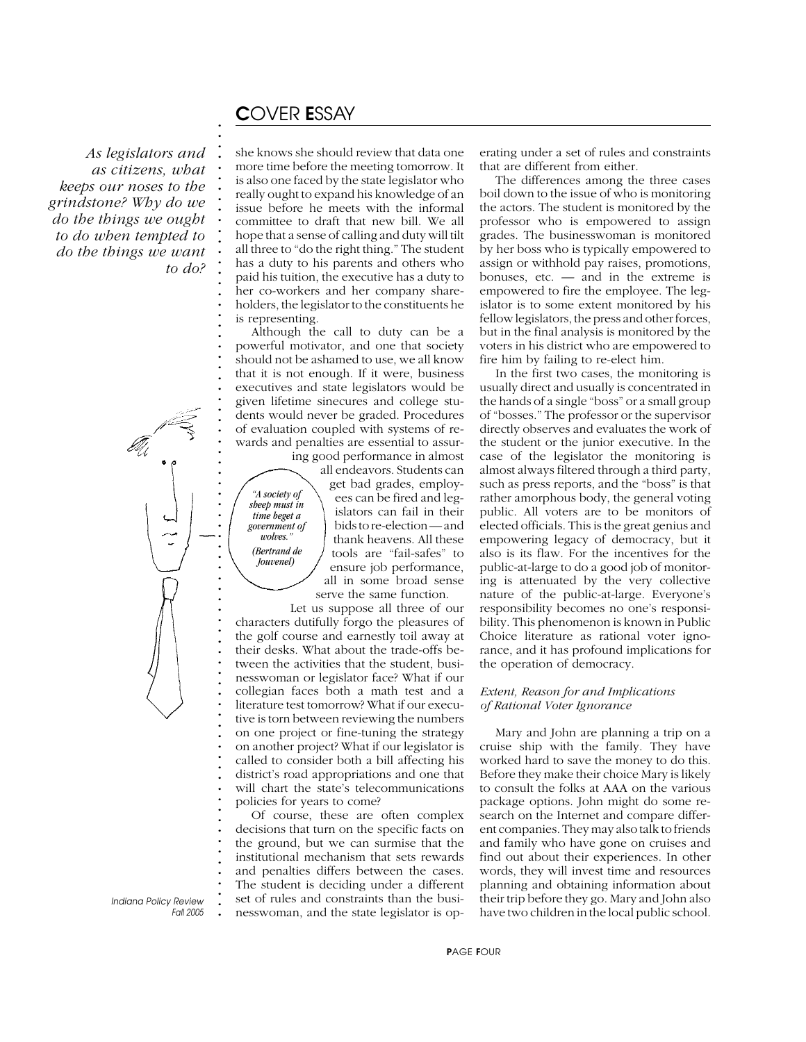# C*OVER* E*SSAY*

*"A society of sheep must in time beget a government of wolves." (Bertrand de Jouvenel)*

**. . . . . . . . . . . . . . . . . . . . . . . . . . . . . . . . . . . . . . . . . . . . . . . . . . . . . . . . . . . . . . . . . . . . . . . . . . .**

*As legislators and as citizens, what keeps our noses to the grindstone? Why do we do the things we ought to do when tempted to do the things we want to do?*

has a duty to his parents and others who paid his tuition, the executive has a duty to her co-workers and her company shareholders, the legislator to the constituents he is representing. Although the call to duty can be a powerful motivator, and one that society should not be ashamed to use, we all know that it is not enough. If it were, business executives and state legislators would be given lifetime sinecures and college students would never be graded. Procedures of evaluation coupled with systems of rewards and penalties are essential to assur-

she knows she should review that data one more time before the meeting tomorrow. It is also one faced by the state legislator who really ought to expand his knowledge of an issue before he meets with the informal committee to draft that new bill. We all hope that a sense of calling and duty will tilt all three to "do the right thing." The student

> ing good performance in almost all endeavors. Students can get bad grades, employees can be fired and legislators can fail in their bids to re-election — and thank heavens. All these tools are "fail-safes" to ensure job performance, all in some broad sense serve the same function.

Let us suppose all three of our characters dutifully forgo the pleasures of the golf course and earnestly toil away at their desks. What about the trade-offs between the activities that the student, businesswoman or legislator face? What if our collegian faces both a math test and a literature test tomorrow? What if our executive is torn between reviewing the numbers on one project or fine-tuning the strategy on another project? What if our legislator is called to consider both a bill affecting his district's road appropriations and one that will chart the state's telecommunications policies for years to come?

Of course, these are often complex decisions that turn on the specific facts on the ground, but we can surmise that the institutional mechanism that sets rewards and penalties differs between the cases. The student is deciding under a different set of rules and constraints than the businesswoman, and the state legislator is operating under a set of rules and constraints that are different from either.

The differences among the three cases boil down to the issue of who is monitoring the actors. The student is monitored by the professor who is empowered to assign grades. The businesswoman is monitored by her boss who is typically empowered to assign or withhold pay raises, promotions, bonuses,  $etc.$  — and in the extreme is empowered to fire the employee. The legislator is to some extent monitored by his fellow legislators, the press and other forces, but in the final analysis is monitored by the voters in his district who are empowered to fire him by failing to re-elect him.

In the first two cases, the monitoring is usually direct and usually is concentrated in the hands of a single "boss" or a small group of "bosses." The professor or the supervisor directly observes and evaluates the work of the student or the junior executive. In the case of the legislator the monitoring is almost always filtered through a third party, such as press reports, and the "boss" is that rather amorphous body, the general voting public. All voters are to be monitors of elected officials. This is the great genius and empowering legacy of democracy, but it also is its flaw. For the incentives for the public-at-large to do a good job of monitoring is attenuated by the very collective nature of the public-at-large. Everyone's responsibility becomes no one's responsibility. This phenomenon is known in Public Choice literature as rational voter ignorance, and it has profound implications for the operation of democracy.

### *Extent, Reason for and Implications of Rational Voter Ignorance*

Mary and John are planning a trip on a cruise ship with the family. They have worked hard to save the money to do this. Before they make their choice Mary is likely to consult the folks at AAA on the various package options. John might do some research on the Internet and compare different companies. They may also talk to friends and family who have gone on cruises and find out about their experiences. In other words, they will invest time and resources planning and obtaining information about their trip before they go. Mary and John also have two children in the local public school.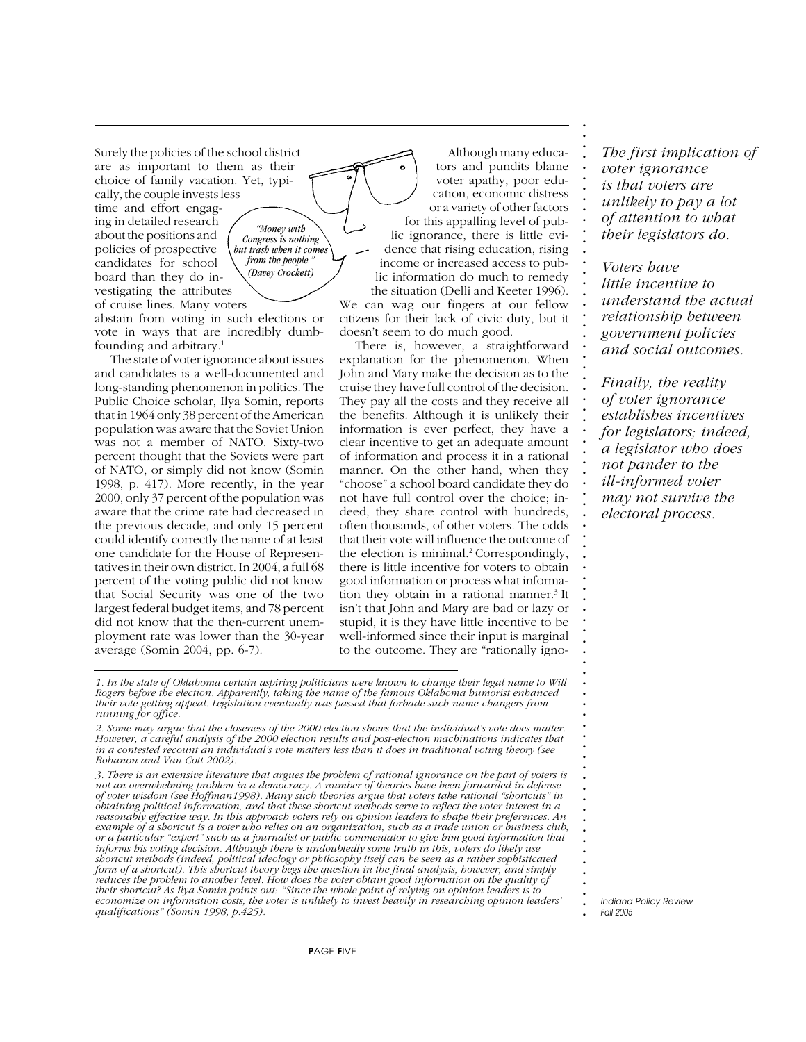Surely the policies of the school district are as important to them as their choice of family vacation. Yet, typically, the couple invests less time and effort engag-

ing in detailed research about the positions and policies of prospective candidates for school board than they do investigating the attributes of cruise lines. Many voters

*"Money with Congress is nothing but trash when it comes from the people." (Davey Crockett)*

abstain from voting in such elections or vote in ways that are incredibly dumbfounding and arbitrary.1

The state of voter ignorance about issues and candidates is a well-documented and long-standing phenomenon in politics. The Public Choice scholar, Ilya Somin, reports that in 1964 only 38 percent of the American population was aware that the Soviet Union was not a member of NATO. Sixty-two percent thought that the Soviets were part of NATO, or simply did not know (Somin 1998, p. 417). More recently, in the year 2000, only 37 percent of the population was aware that the crime rate had decreased in the previous decade, and only 15 percent could identify correctly the name of at least one candidate for the House of Representatives in their own district. In 2004, a full 68 percent of the voting public did not know that Social Security was one of the two largest federal budget items, and 78 percent did not know that the then-current unemployment rate was lower than the 30-year average (Somin 2004, pp. 6-7).

Although many educators and pundits blame voter apathy, poor education, economic distress or a variety of other factors for this appalling level of public ignorance, there is little evidence that rising education, rising income or increased access to public information do much to remedy the situation (Delli and Keeter 1996). We can wag our fingers at our fellow citizens for their lack of civic duty, but it doesn't seem to do much good.

There is, however, a straightforward explanation for the phenomenon. When John and Mary make the decision as to the cruise they have full control of the decision. They pay all the costs and they receive all the benefits. Although it is unlikely their information is ever perfect, they have a clear incentive to get an adequate amount of information and process it in a rational manner. On the other hand, when they "choose" a school board candidate they do not have full control over the choice; indeed, they share control with hundreds, often thousands, of other voters. The odds that their vote will influence the outcome of the election is minimal.<sup>2</sup> Correspondingly, there is little incentive for voters to obtain good information or process what information they obtain in a rational manner.<sup>3</sup> It isn't that John and Mary are bad or lazy or stupid, it is they have little incentive to be well-informed since their input is marginal to the outcome. They are "rationally igno*The first implication of voter ignorance is that voters are unlikely to pay a lot of attention to what their legislators do.*

**. . . . . . . . . . . . . . . . . . . . . . . . . . . . . . . . . . . . . . . . . . . . . . . . . . . . . . . . . . . . . . . . . . . . . . . . . . .**

*Voters have little incentive to understand the actual relationship between government policies and social outcomes.*

*Finally, the reality of voter ignorance establishes incentives for legislators; indeed, a legislator who does not pander to the ill-informed voter may not survive the electoral process.*

*1. In the state of Oklahoma certain aspiring politicians were known to change their legal name to Will Rogers before the election. Apparently, taking the name of the famous Oklahoma humorist enhanced their vote-getting appeal. Legislation eventually was passed that forbade such name-changers from running for office.*

*2. Some may argue that the closeness of the 2000 election shows that the individual's vote does matter. However, a careful analysis of the 2000 election results and post-election machinations indicates that in a contested recount an individual's vote matters less than it does in traditional voting theory (see Bohanon and Van Cott 2002).*

*3. There is an extensive literature that argues the problem of rational ignorance on the part of voters is not an overwhelming problem in a democracy. A number of theories have been forwarded in defense of voter wisdom (see Hoffman1998). Many such theories argue that voters take rational "shortcuts" in obtaining political information, and that these shortcut methods serve to reflect the voter interest in a reasonably effective way. In this approach voters rely on opinion leaders to shape their preferences. An example of a shortcut is a voter who relies on an organization, such as a trade union or business club; or a particular "expert" such as a journalist or public commentator to give him good information that informs his voting decision. Although there is undoubtedly some truth in this, voters do likely use shortcut methods (indeed, political ideology or philosophy itself can be seen as a rather sophisticated form of a shortcut). This shortcut theory begs the question in the final analysis, however, and simply reduces the problem to another level. How does the voter obtain good information on the quality of their shortcut? As Ilya Somin points out: "Since the whole point of relying on opinion leaders is to economize on information costs, the voter is unlikely to invest heavily in researching opinion leaders' qualifications" (Somin 1998, p.425).*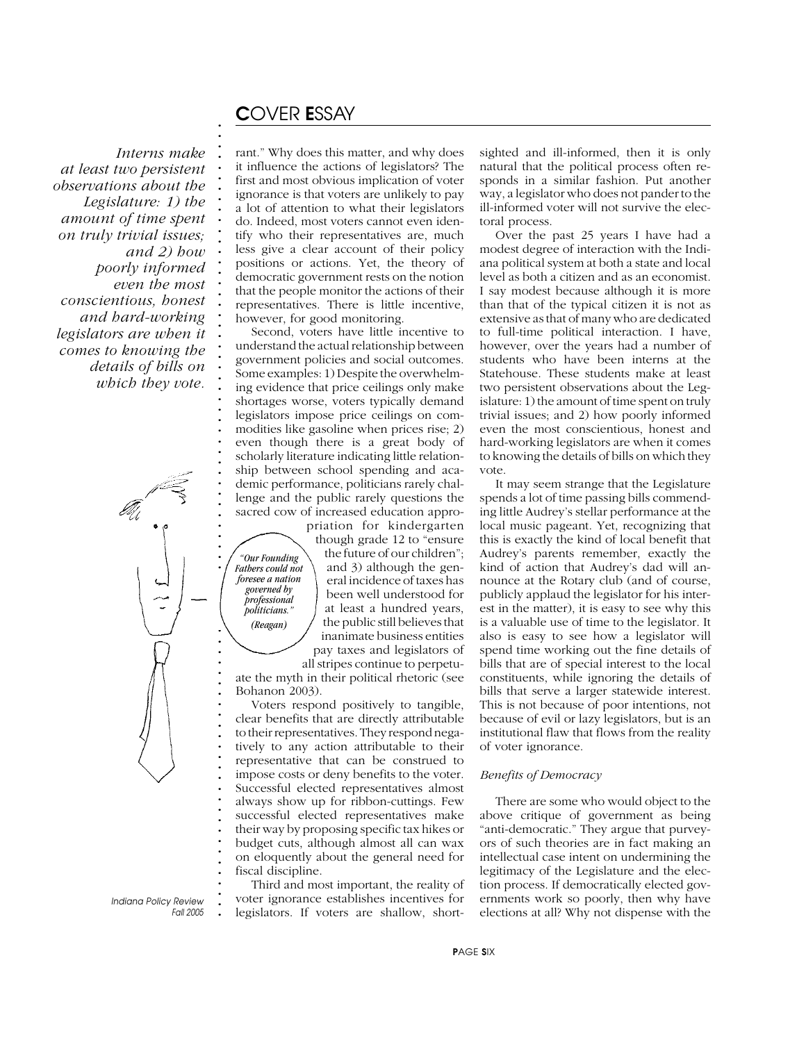# C*OVER* E*SSAY*

**. . . . . . . . . . . . . . . . . . . . . . . . . . . . . . . . . . . . . . . . . . . . . . . . . . . . . . . . . . . . . . . . . . . . . . . . . .**

*Interns make at least two persistent observations about the Legislature: 1) the amount of time spent on truly trivial issues; and 2) how poorly informed even the most conscientious, honest and hard-working legislators are when it comes to knowing the details of bills on which they vote.*

rant." Why does this matter, and why does it influence the actions of legislators? The first and most obvious implication of voter ignorance is that voters are unlikely to pay a lot of attention to what their legislators do. Indeed, most voters cannot even identify who their representatives are, much less give a clear account of their policy positions or actions. Yet, the theory of democratic government rests on the notion that the people monitor the actions of their representatives. There is little incentive, however, for good monitoring.

Second, voters have little incentive to understand the actual relationship between government policies and social outcomes. Some examples: 1) Despite the overwhelming evidence that price ceilings only make shortages worse, voters typically demand legislators impose price ceilings on commodities like gasoline when prices rise; 2) even though there is a great body of scholarly literature indicating little relationship between school spending and academic performance, politicians rarely challenge and the public rarely questions the sacred cow of increased education appropriation for kindergarten

*"Our Founding Fathers could not foresee a nation governed by professional politicians." (Reagan)*

though grade 12 to "ensure the future of our children"; and 3) although the general incidence of taxes has been well understood for at least a hundred years, the public still believes that inanimate business entities pay taxes and legislators of all stripes continue to perpetu-

ate the myth in their political rhetoric (see Bohanon 2003).

Voters respond positively to tangible, clear benefits that are directly attributable to their representatives. They respond negatively to any action attributable to their representative that can be construed to impose costs or deny benefits to the voter. Successful elected representatives almost always show up for ribbon-cuttings. Few successful elected representatives make their way by proposing specific tax hikes or budget cuts, although almost all can wax on eloquently about the general need for fiscal discipline.

Third and most important, the reality of voter ignorance establishes incentives for legislators. If voters are shallow, shortsighted and ill-informed, then it is only natural that the political process often responds in a similar fashion. Put another way, a legislator who does not pander to the ill-informed voter will not survive the electoral process.

Over the past 25 years I have had a modest degree of interaction with the Indiana political system at both a state and local level as both a citizen and as an economist. I say modest because although it is more than that of the typical citizen it is not as extensive as that of many who are dedicated to full-time political interaction. I have, however, over the years had a number of students who have been interns at the Statehouse. These students make at least two persistent observations about the Legislature: 1) the amount of time spent on truly trivial issues; and 2) how poorly informed even the most conscientious, honest and hard-working legislators are when it comes to knowing the details of bills on which they vote.

It may seem strange that the Legislature spends a lot of time passing bills commending little Audrey's stellar performance at the local music pageant. Yet, recognizing that this is exactly the kind of local benefit that Audrey's parents remember, exactly the kind of action that Audrey's dad will announce at the Rotary club (and of course, publicly applaud the legislator for his interest in the matter), it is easy to see why this is a valuable use of time to the legislator. It also is easy to see how a legislator will spend time working out the fine details of bills that are of special interest to the local constituents, while ignoring the details of bills that serve a larger statewide interest. This is not because of poor intentions, not because of evil or lazy legislators, but is an institutional flaw that flows from the reality of voter ignorance.

### *Benefits of Democracy*

There are some who would object to the above critique of government as being "anti-democratic." They argue that purveyors of such theories are in fact making an intellectual case intent on undermining the legitimacy of the Legislature and the election process. If democratically elected governments work so poorly, then why have elections at all? Why not dispense with the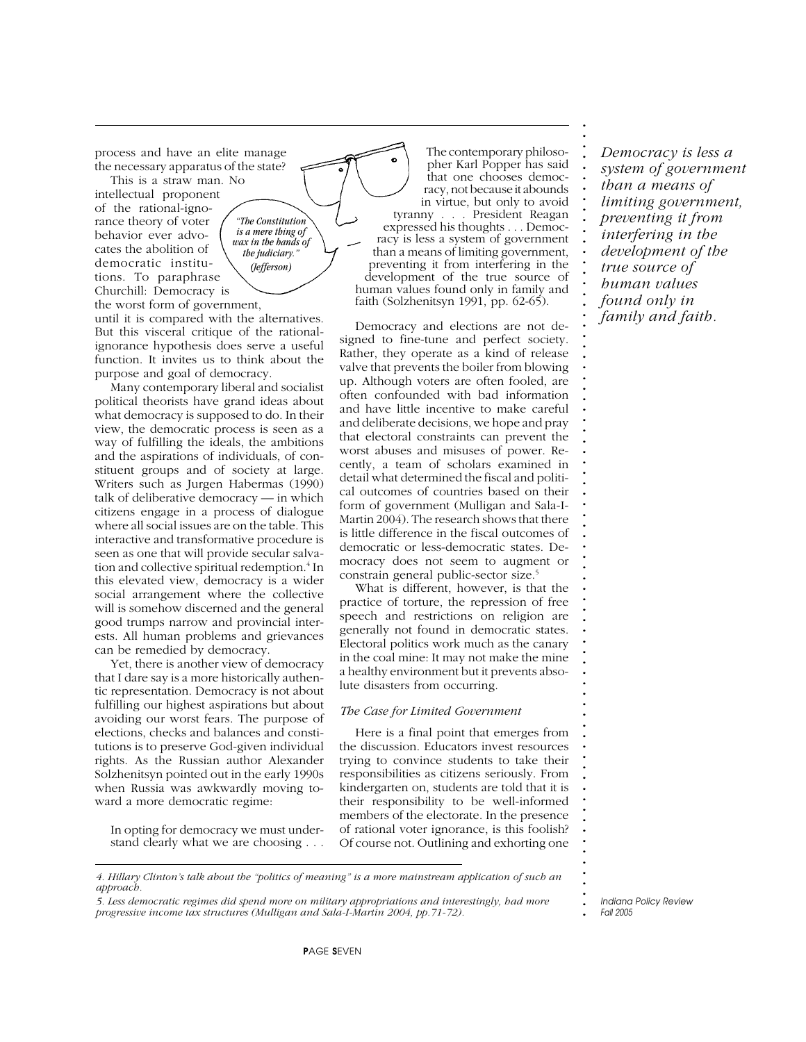process and have an elite manage the necessary apparatus of the state?

This is a straw man. No intellectual proponent of the rational-ignorance theory of voter behavior ever advocates the abolition of democratic institutions. To paraphrase Churchill: Democracy is the worst form of government,

until it is compared with the alternatives. But this visceral critique of the rationalignorance hypothesis does serve a useful function. It invites us to think about the purpose and goal of democracy.

*"The Constitution is a mere thing of wax in the hands of the judiciary." (Jefferson)*

Many contemporary liberal and socialist political theorists have grand ideas about what democracy is supposed to do. In their view, the democratic process is seen as a way of fulfilling the ideals, the ambitions and the aspirations of individuals, of constituent groups and of society at large. Writers such as Jurgen Habermas (1990) talk of deliberative democracy — in which citizens engage in a process of dialogue where all social issues are on the table. This interactive and transformative procedure is seen as one that will provide secular salvation and collective spiritual redemption.<sup>4</sup> In this elevated view, democracy is a wider social arrangement where the collective will is somehow discerned and the general good trumps narrow and provincial interests. All human problems and grievances can be remedied by democracy.

Yet, there is another view of democracy that I dare say is a more historically authentic representation. Democracy is not about fulfilling our highest aspirations but about avoiding our worst fears. The purpose of elections, checks and balances and constitutions is to preserve God-given individual rights. As the Russian author Alexander Solzhenitsyn pointed out in the early 1990s when Russia was awkwardly moving toward a more democratic regime:

In opting for democracy we must understand clearly what we are choosing . . .

*4. Hillary Clinton's talk about the "politics of meaning" is a more mainstream application of such an approach.*

*5. Less democratic regimes did spend more on military appropriations and interestingly, had more progressive income tax structures (Mulligan and Sala-I-Martin 2004, pp.71-72).*

The contemporary philosopher Karl Popper has said that one chooses democracy, not because it abounds in virtue, but only to avoid tyranny . . . President Reagan expressed his thoughts . . . Democracy is less a system of government than a means of limiting government, preventing it from interfering in the development of the true source of human values found only in family and faith (Solzhenitsyn 1991, pp. 62-65).

Democracy and elections are not designed to fine-tune and perfect society. Rather, they operate as a kind of release valve that prevents the boiler from blowing up. Although voters are often fooled, are often confounded with bad information and have little incentive to make careful and deliberate decisions, we hope and pray that electoral constraints can prevent the worst abuses and misuses of power. Recently, a team of scholars examined in detail what determined the fiscal and political outcomes of countries based on their form of government (Mulligan and Sala-I-Martin 2004). The research shows that there is little difference in the fiscal outcomes of democratic or less-democratic states. Democracy does not seem to augment or constrain general public-sector size.5

What is different, however, is that the practice of torture, the repression of free speech and restrictions on religion are generally not found in democratic states. Electoral politics work much as the canary in the coal mine: It may not make the mine a healthy environment but it prevents absolute disasters from occurring.

#### *The Case for Limited Government*

Here is a final point that emerges from the discussion. Educators invest resources trying to convince students to take their responsibilities as citizens seriously. From kindergarten on, students are told that it is their responsibility to be well-informed members of the electorate. In the presence of rational voter ignorance, is this foolish? Of course not. Outlining and exhorting one

*Democracy is less a system of government than a means of limiting government, preventing it from interfering in the development of the true source of human values found only in family and faith.*

**. . . . . . . . . . . . . . . . . . . . . . . . . . . . . . . . . . . . . . . . . . . . . . . . . . . . . . . . . . . . . . . . . . . . . . . . . . .**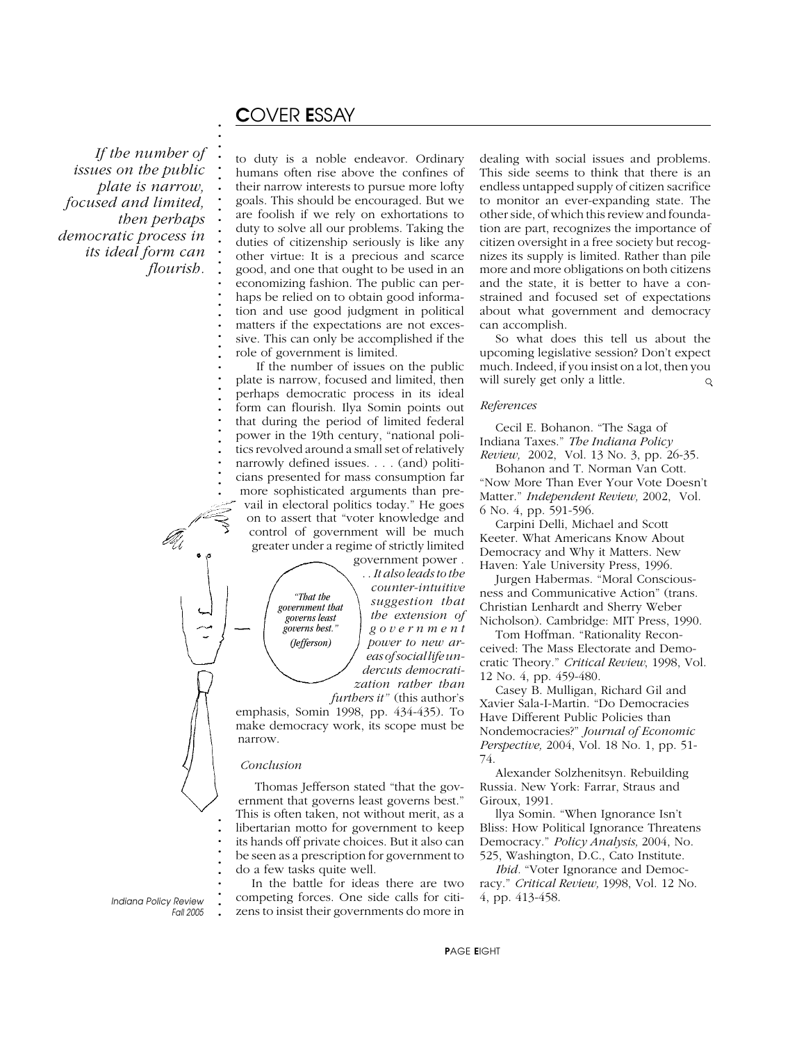# C*OVER* E*SSAY*

**. . . . . . . . . . . . . . . . . . . . . . . . . . . . . . . . . . . . . . .**

 *If the number of issues on the public plate is narrow, focused and limited, then perhaps democratic process in its ideal form can flourish.*

to duty is a noble endeavor. Ordinary humans often rise above the confines of their narrow interests to pursue more lofty goals. This should be encouraged. But we are foolish if we rely on exhortations to duty to solve all our problems. Taking the duties of citizenship seriously is like any other virtue: It is a precious and scarce good, and one that ought to be used in an economizing fashion. The public can perhaps be relied on to obtain good information and use good judgment in political matters if the expectations are not excessive. This can only be accomplished if the role of government is limited.

 If the number of issues on the public plate is narrow, focused and limited, then perhaps democratic process in its ideal form can flourish. Ilya Somin points out that during the period of limited federal power in the 19th century, "national politics revolved around a small set of relatively narrowly defined issues. . . . (and) politicians presented for mass consumption far more sophisticated arguments than prevail in electoral politics today." He goes on to assert that "voter knowledge and control of government will be much greater under a regime of strictly limited government power .

. . *It also leads to the counter-intuitive suggestion that the extension of government power to new areas of social life undercuts democratization rather than furthers it"* (this author's

emphasis, Somin 1998, pp. 434-435). To make democracy work, its scope must be narrow.

 *"That the government that governs least governs best." (Jefferson)*

#### *Conclusion*

**. .**

**. . . . . . . . .**

Thomas Jefferson stated "that the government that governs least governs best." This is often taken, not without merit, as a libertarian motto for government to keep its hands off private choices. But it also can be seen as a prescription for government to do a few tasks quite well.

In the battle for ideas there are two competing forces. One side calls for citizens to insist their governments do more in

dealing with social issues and problems. This side seems to think that there is an endless untapped supply of citizen sacrifice to monitor an ever-expanding state. The other side, of which this review and foundation are part, recognizes the importance of citizen oversight in a free society but recognizes its supply is limited. Rather than pile more and more obligations on both citizens and the state, it is better to have a constrained and focused set of expectations about what government and democracy can accomplish.

So what does this tell us about the upcoming legislative session? Don't expect much. Indeed, if you insist on a lot, then you will surely get only a little.  $\mathsf{Q}$ 

#### *References*

Cecil E. Bohanon. "The Saga of Indiana Taxes." *The Indiana Policy Review,* 2002, Vol. 13 No. 3, pp. 26-35.

Bohanon and T. Norman Van Cott. "Now More Than Ever Your Vote Doesn't Matter." *Independent Review,* 2002, Vol. 6 No. 4, pp. 591-596.

Carpini Delli, Michael and Scott Keeter. What Americans Know About Democracy and Why it Matters. New Haven: Yale University Press, 1996.

Jurgen Habermas. "Moral Consciousness and Communicative Action" (trans. Christian Lenhardt and Sherry Weber Nicholson). Cambridge: MIT Press, 1990.

Tom Hoffman. "Rationality Reconceived: The Mass Electorate and Democratic Theory." *Critical Review*, 1998, Vol. 12 No. 4, pp. 459-480.

Casey B. Mulligan, Richard Gil and Xavier Sala-I-Martin. "Do Democracies Have Different Public Policies than Nondemocracies?" *Journal of Economic Perspective,* 2004, Vol. 18 No. 1, pp. 51- 74.

Alexander Solzhenitsyn. Rebuilding Russia. New York: Farrar, Straus and Giroux, 1991.

llya Somin. "When Ignorance Isn't Bliss: How Political Ignorance Threatens Democracy." *Policy Analysis,* 2004, No. 525, Washington, D.C., Cato Institute.

*Ibid.* "Voter Ignorance and Democracy." *Critical Review,* 1998, Vol. 12 No. 4, pp. 413-458.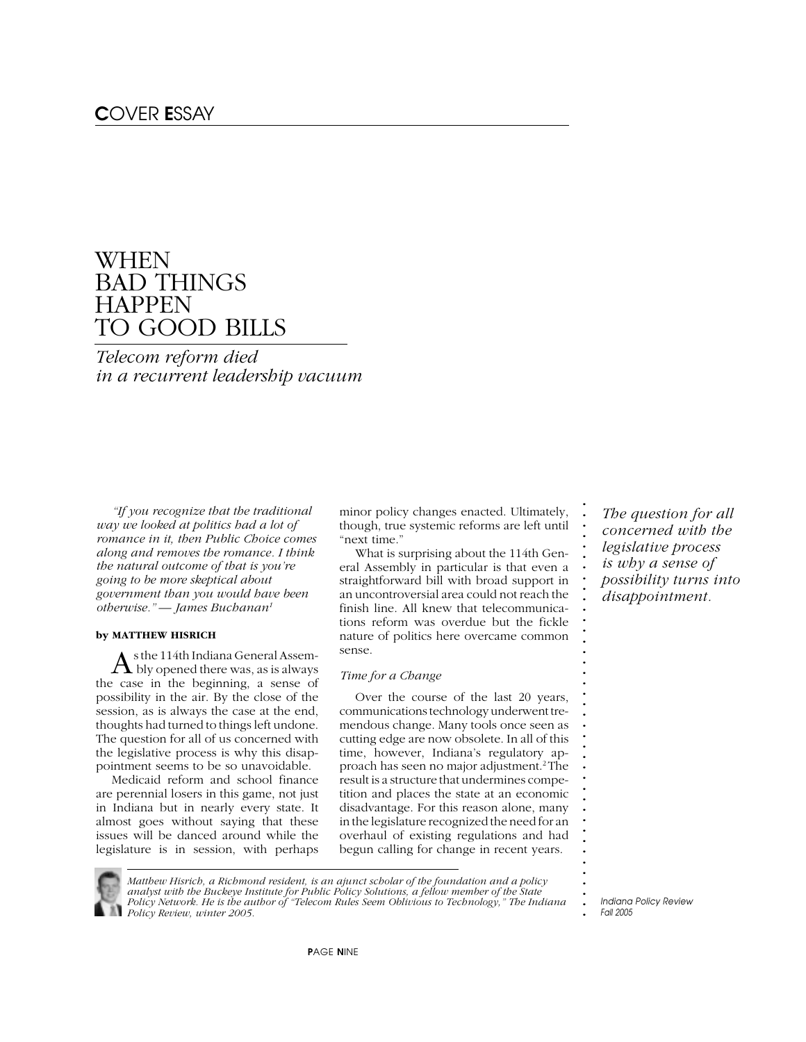# WHEN BAD THINGS **HAPPEN** TO GOOD BILLS

*Telecom reform died in a recurrent leadership vacuum*

*"If you recognize that the traditional way we looked at politics had a lot of romance in it, then Public Choice comes along and removes the romance. I think the natural outcome of that is you're going to be more skeptical about government than you would have been otherwise." — James Buchanan1*

#### **by MATTHEW HISRICH**

 $\mathrm A$  s the 114th Indiana General Assemthe case in the beginning, a sense of possibility in the air. By the close of the session, as is always the case at the end, thoughts had turned to things left undone. The question for all of us concerned with the legislative process is why this disappointment seems to be so unavoidable.

Medicaid reform and school finance are perennial losers in this game, not just in Indiana but in nearly every state. It almost goes without saying that these issues will be danced around while the legislature is in session, with perhaps minor policy changes enacted. Ultimately, though, true systemic reforms are left until "next time."

What is surprising about the 114th General Assembly in particular is that even a straightforward bill with broad support in an uncontroversial area could not reach the finish line. All knew that telecommunications reform was overdue but the fickle nature of politics here overcame common sense.

#### *Time for a Change*

Over the course of the last 20 years, communications technology underwent tremendous change. Many tools once seen as cutting edge are now obsolete. In all of this time, however, Indiana's regulatory approach has seen no major adjustment.2 The result is a structure that undermines competition and places the state at an economic disadvantage. For this reason alone, many in the legislature recognized the need for an overhaul of existing regulations and had begun calling for change in recent years.

*The question for all concerned with the legislative process is why a sense of possibility turns into disappointment.*

**. . . . . . . . . . . . . . . . . . . . . . . . . . . . . . . . . . . . . . .**

**.** *Indiana Policy Review Fall 2005*



*Matthew Hisrich, a Richmond resident, is an ajunct scholar of the foundation and a policy analyst with the Buckeye Institute for Public Policy Solutions, a fellow member of the State*

*Policy Network. He is the author of "Telecom Rules Seem Oblivious to Technology," The Indiana Policy Review, winter 2005.*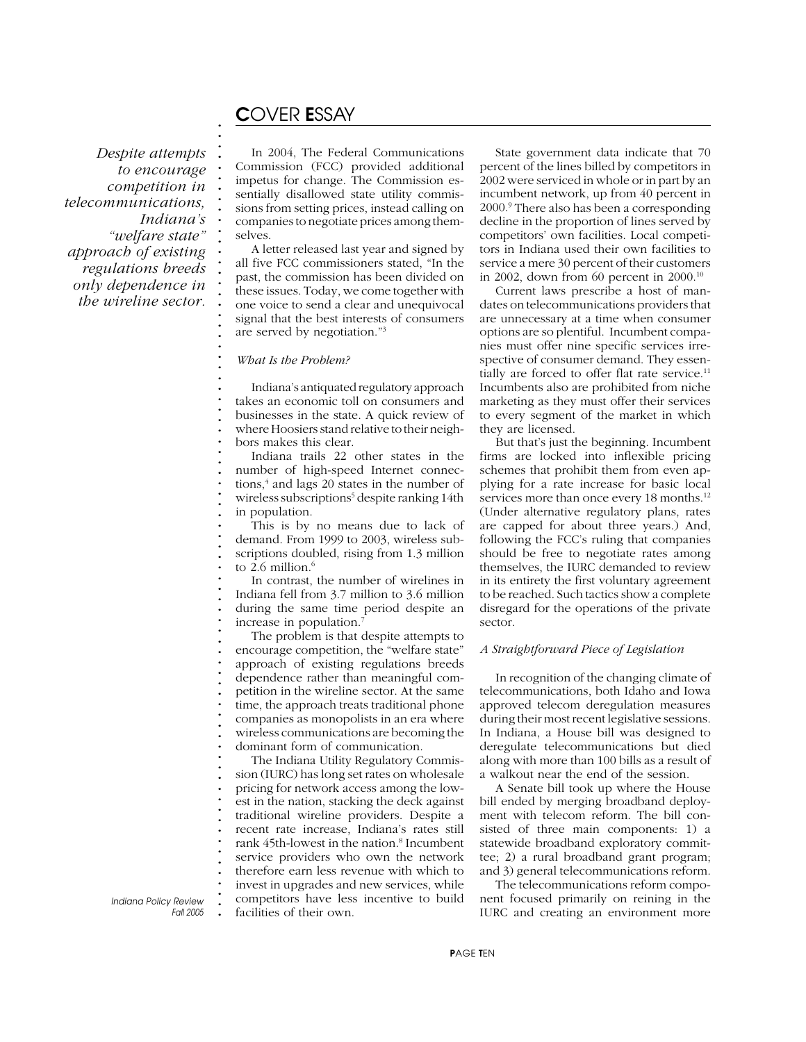# C*OVER* E*SSAY*

**. . . . . . . . . . . . . . . . . . . . . . . . . . . . . . . . . . . . . . . . . . . . . . . . . . . . . . . . . . . . . . . . . . . . . . . . . . .**

*Despite attempts to encourage competition in telecommunications, Indiana's "welfare state" approach of existing regulations breeds only dependence in the wireline sector.*

In 2004, The Federal Communications Commission (FCC) provided additional impetus for change. The Commission essentially disallowed state utility commissions from setting prices, instead calling on companies to negotiate prices among themselves.

A letter released last year and signed by all five FCC commissioners stated, "In the past, the commission has been divided on these issues. Today, we come together with one voice to send a clear and unequivocal signal that the best interests of consumers are served by negotiation."3

#### *What Is the Problem?*

Indiana's antiquated regulatory approach takes an economic toll on consumers and businesses in the state. A quick review of where Hoosiers stand relative to their neighbors makes this clear.

Indiana trails 22 other states in the number of high-speed Internet connections,<sup>4</sup> and lags 20 states in the number of wireless subscriptions<sup>5</sup> despite ranking 14th in population.

This is by no means due to lack of demand. From 1999 to 2003, wireless subscriptions doubled, rising from 1.3 million to 2.6 million. $6$ 

In contrast, the number of wirelines in Indiana fell from 3.7 million to 3.6 million during the same time period despite an increase in population.<sup>7</sup>

The problem is that despite attempts to encourage competition, the "welfare state" approach of existing regulations breeds dependence rather than meaningful competition in the wireline sector. At the same time, the approach treats traditional phone companies as monopolists in an era where wireless communications are becoming the dominant form of communication.

The Indiana Utility Regulatory Commission (IURC) has long set rates on wholesale pricing for network access among the lowest in the nation, stacking the deck against traditional wireline providers. Despite a recent rate increase, Indiana's rates still rank 45th-lowest in the nation.<sup>8</sup> Incumbent service providers who own the network therefore earn less revenue with which to invest in upgrades and new services, while competitors have less incentive to build facilities of their own.

State government data indicate that 70 percent of the lines billed by competitors in 2002 were serviced in whole or in part by an incumbent network, up from 40 percent in 2000.9 There also has been a corresponding decline in the proportion of lines served by competitors' own facilities. Local competitors in Indiana used their own facilities to service a mere 30 percent of their customers in 2002, down from 60 percent in  $2000$ .<sup>10</sup>

Current laws prescribe a host of mandates on telecommunications providers that are unnecessary at a time when consumer options are so plentiful. Incumbent companies must offer nine specific services irrespective of consumer demand. They essentially are forced to offer flat rate service.<sup>11</sup> Incumbents also are prohibited from niche marketing as they must offer their services to every segment of the market in which they are licensed.

But that's just the beginning. Incumbent firms are locked into inflexible pricing schemes that prohibit them from even applying for a rate increase for basic local services more than once every 18 months.<sup>12</sup> (Under alternative regulatory plans, rates are capped for about three years.) And, following the FCC's ruling that companies should be free to negotiate rates among themselves, the IURC demanded to review in its entirety the first voluntary agreement to be reached. Such tactics show a complete disregard for the operations of the private sector.

### *A Straightforward Piece of Legislation*

In recognition of the changing climate of telecommunications, both Idaho and Iowa approved telecom deregulation measures during their most recent legislative sessions. In Indiana, a House bill was designed to deregulate telecommunications but died along with more than 100 bills as a result of a walkout near the end of the session.

A Senate bill took up where the House bill ended by merging broadband deployment with telecom reform. The bill consisted of three main components: 1) a statewide broadband exploratory committee; 2) a rural broadband grant program; and 3) general telecommunications reform.

The telecommunications reform component focused primarily on reining in the IURC and creating an environment more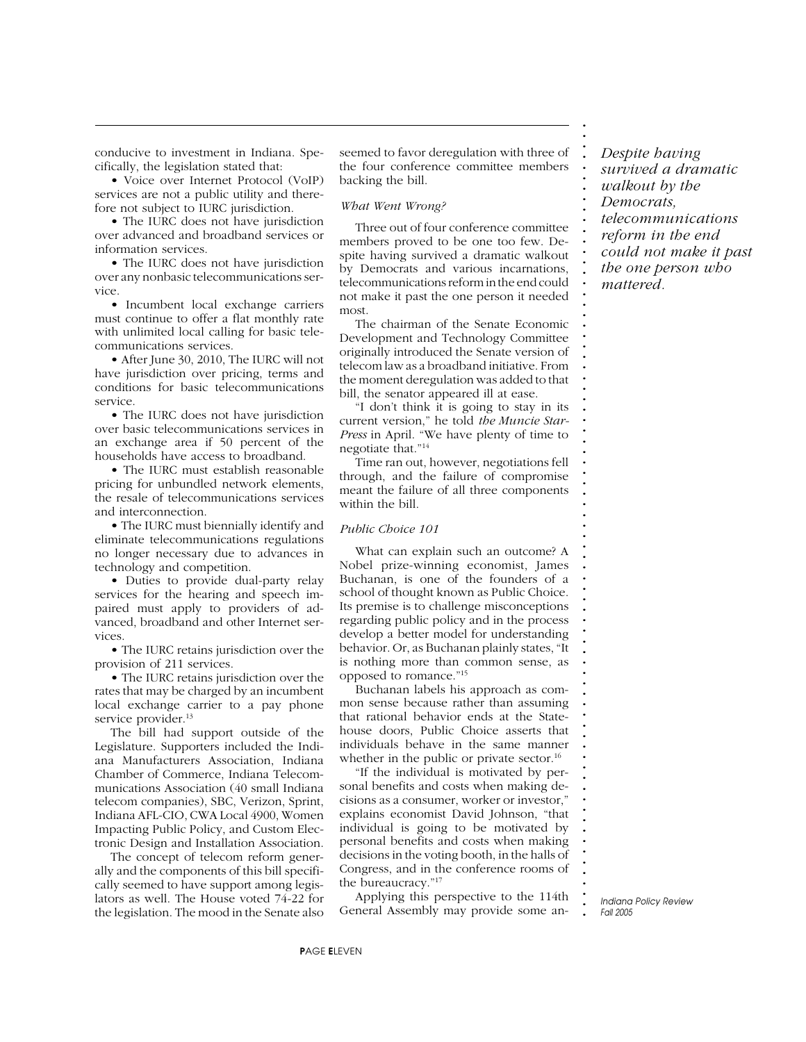conducive to investment in Indiana. Specifically, the legislation stated that:

• Voice over Internet Protocol (VoIP) services are not a public utility and therefore not subject to IURC jurisdiction.

• The IURC does not have jurisdiction over advanced and broadband services or information services.

• The IURC does not have jurisdiction over any nonbasic telecommunications service.

• Incumbent local exchange carriers must continue to offer a flat monthly rate with unlimited local calling for basic telecommunications services.

• After June 30, 2010, The IURC will not have jurisdiction over pricing, terms and conditions for basic telecommunications service.

• The IURC does not have jurisdiction over basic telecommunications services in an exchange area if 50 percent of the households have access to broadband.

• The IURC must establish reasonable pricing for unbundled network elements, the resale of telecommunications services and interconnection.

• The IURC must biennially identify and eliminate telecommunications regulations no longer necessary due to advances in technology and competition.

• Duties to provide dual-party relay services for the hearing and speech impaired must apply to providers of advanced, broadband and other Internet services.

• The IURC retains jurisdiction over the provision of 211 services.

• The IURC retains jurisdiction over the rates that may be charged by an incumbent local exchange carrier to a pay phone service provider.<sup>13</sup>

The bill had support outside of the Legislature. Supporters included the Indiana Manufacturers Association, Indiana Chamber of Commerce, Indiana Telecommunications Association (40 small Indiana telecom companies), SBC, Verizon, Sprint, Indiana AFL-CIO, CWA Local 4900, Women Impacting Public Policy, and Custom Electronic Design and Installation Association.

The concept of telecom reform generally and the components of this bill specifically seemed to have support among legislators as well. The House voted 74-22 for the legislation. The mood in the Senate also seemed to favor deregulation with three of the four conference committee members backing the bill.

#### *What Went Wrong?*

Three out of four conference committee members proved to be one too few. Despite having survived a dramatic walkout by Democrats and various incarnations, telecommunications reform in the end could not make it past the one person it needed most.

The chairman of the Senate Economic Development and Technology Committee originally introduced the Senate version of telecom law as a broadband initiative. From the moment deregulation was added to that bill, the senator appeared ill at ease.

"I don't think it is going to stay in its current version," he told *the Muncie Star-Press* in April. "We have plenty of time to negotiate that."14

Time ran out, however, negotiations fell through, and the failure of compromise meant the failure of all three components within the bill.

#### *Public Choice 101*

What can explain such an outcome? A Nobel prize-winning economist, James Buchanan, is one of the founders of a school of thought known as Public Choice. Its premise is to challenge misconceptions regarding public policy and in the process develop a better model for understanding behavior. Or, as Buchanan plainly states, "It is nothing more than common sense, as opposed to romance."15

Buchanan labels his approach as common sense because rather than assuming that rational behavior ends at the Statehouse doors, Public Choice asserts that individuals behave in the same manner whether in the public or private sector.<sup>16</sup>

"If the individual is motivated by personal benefits and costs when making decisions as a consumer, worker or investor," explains economist David Johnson, "that individual is going to be motivated by personal benefits and costs when making decisions in the voting booth, in the halls of Congress, and in the conference rooms of the bureaucracy."17

Applying this perspective to the 114th General Assembly may provide some an*Despite having survived a dramatic walkout by the Democrats, telecommunications reform in the end could not make it past the one person who*

*mattered.*

**. . . . . . . . . . . . . . . . . . . . . . . . . . . . . . . . . . . . . . . . . . . . . . . . . . . . . . . . . . . . . . . . . . . . . . . . . . .**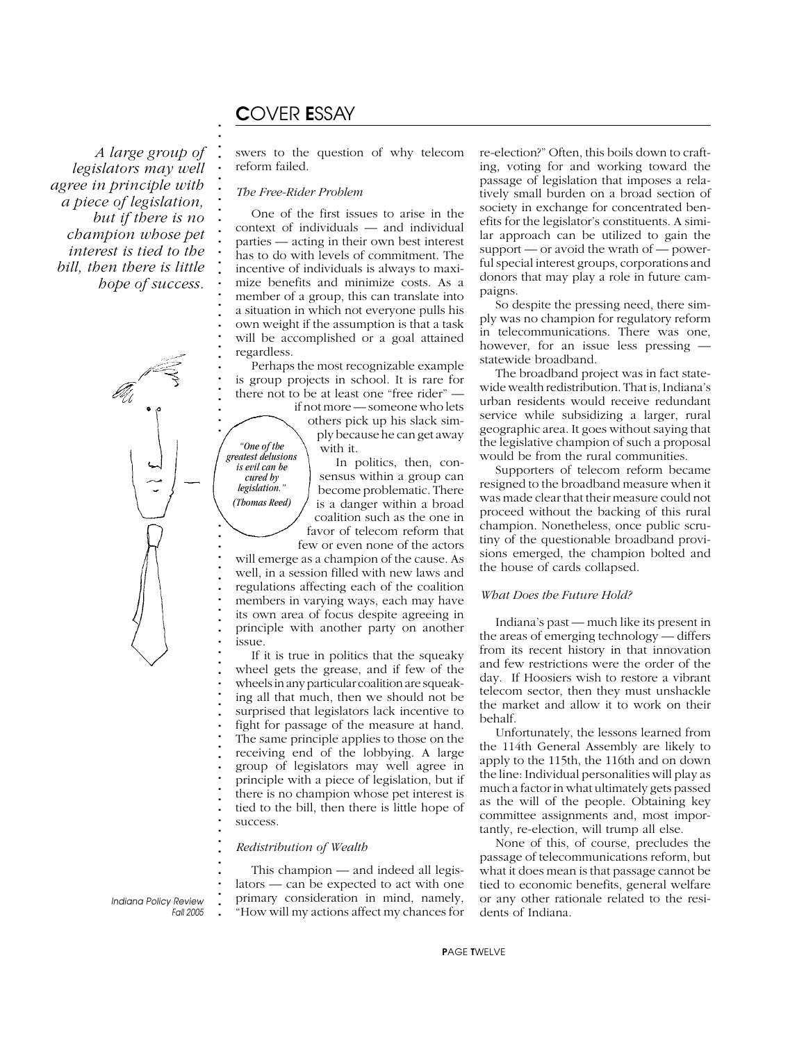# C*OVER* E*SSAY*

**. . . . . . . . . . . . . . . . . . . . . . . . . . . . . . . . .**

*A large group of legislators may well agree in principle with a piece of legislation, but if there is no champion whose pet interest is tied to the bill, then there is little hope of success.*



**. . . . . . . . . . . . . . . . . . . . . . . . . . . . . . . . . . . . . . .** *"One of the greatest delusions is evil can be cured by*  $legislation.$ *(Thomas Reed)*

swers to the question of why telecom reform failed.

#### *The Free-Rider Problem*

One of the first issues to arise in the context of individuals — and individual parties — acting in their own best interest has to do with levels of commitment. The incentive of individuals is always to maximize benefits and minimize costs. As a member of a group, this can translate into a situation in which not everyone pulls his own weight if the assumption is that a task will be accomplished or a goal attained regardless.

Perhaps the most recognizable example is group projects in school. It is rare for there not to be at least one "free rider" —

> if not more — someone who lets others pick up his slack simply because he can get away with it.

In politics, then, consensus within a group can become problematic. There is a danger within a broad coalition such as the one in favor of telecom reform that

few or even none of the actors will emerge as a champion of the cause. As well, in a session filled with new laws and regulations affecting each of the coalition members in varying ways, each may have its own area of focus despite agreeing in principle with another party on another issue.

If it is true in politics that the squeaky wheel gets the grease, and if few of the wheels in any particular coalition are squeaking all that much, then we should not be surprised that legislators lack incentive to fight for passage of the measure at hand. The same principle applies to those on the receiving end of the lobbying. A large group of legislators may well agree in principle with a piece of legislation, but if there is no champion whose pet interest is tied to the bill, then there is little hope of success.

### *Redistribution of Wealth*

This champion — and indeed all legislators — can be expected to act with one primary consideration in mind, namely, "How will my actions affect my chances for re-election?" Often, this boils down to crafting, voting for and working toward the passage of legislation that imposes a relatively small burden on a broad section of society in exchange for concentrated benefits for the legislator's constituents. A similar approach can be utilized to gain the support — or avoid the wrath of — powerful special interest groups, corporations and donors that may play a role in future campaigns.

So despite the pressing need, there simply was no champion for regulatory reform in telecommunications. There was one, however, for an issue less pressing statewide broadband.

The broadband project was in fact statewide wealth redistribution. That is, Indiana's urban residents would receive redundant service while subsidizing a larger, rural geographic area. It goes without saying that the legislative champion of such a proposal would be from the rural communities.

Supporters of telecom reform became resigned to the broadband measure when it was made clear that their measure could not proceed without the backing of this rural champion. Nonetheless, once public scrutiny of the questionable broadband provisions emerged, the champion bolted and the house of cards collapsed.

### *What Does the Future Hold?*

Indiana's past — much like its present in the areas of emerging technology — differs from its recent history in that innovation and few restrictions were the order of the day. If Hoosiers wish to restore a vibrant telecom sector, then they must unshackle the market and allow it to work on their behalf.

Unfortunately, the lessons learned from the 114th General Assembly are likely to apply to the 115th, the 116th and on down the line: Individual personalities will play as much a factor in what ultimately gets passed as the will of the people. Obtaining key committee assignments and, most importantly, re-election, will trump all else.

None of this, of course, precludes the passage of telecommunications reform, but what it does mean is that passage cannot be tied to economic benefits, general welfare or any other rationale related to the residents of Indiana.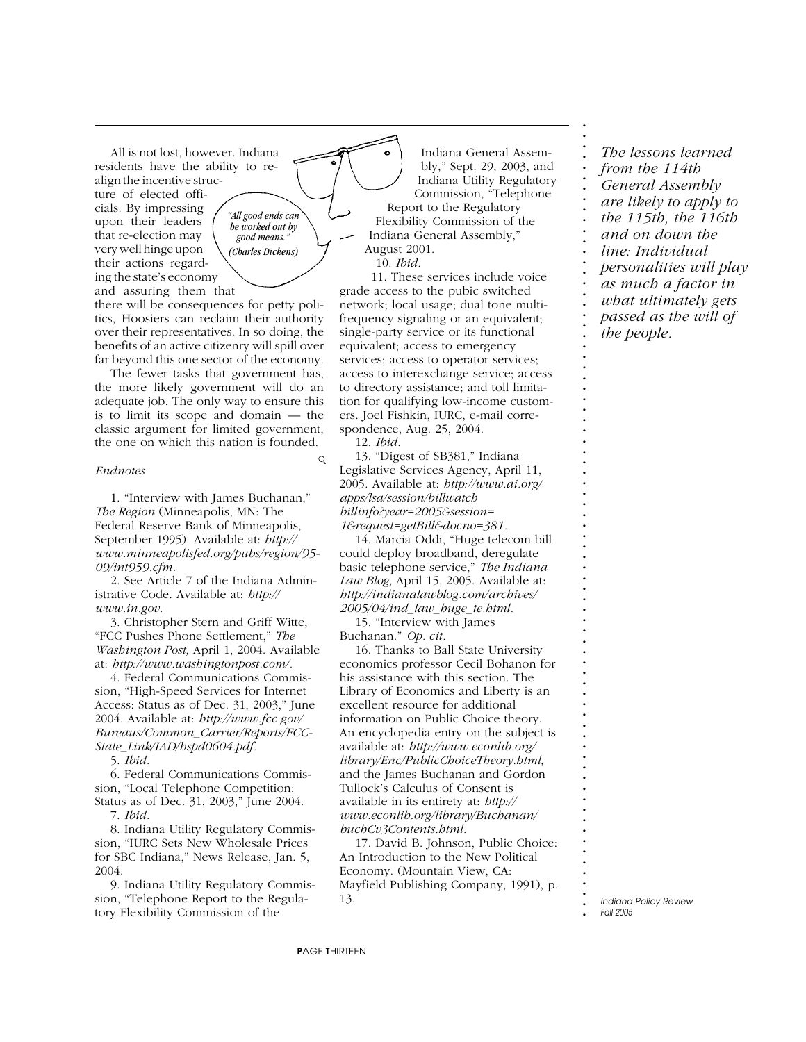All is not lost, however. Indiana residents have the ability to realign the incentive structure of elected officials. By impressing upon their leaders that re-election may very well hinge upon their actions regarding the state's economy and assuring them that

*"All good ends can be worked out by good means." (Charles Dickens)*

there will be consequences for petty politics, Hoosiers can reclaim their authority over their representatives. In so doing, the benefits of an active citizenry will spill over far beyond this one sector of the economy.

The fewer tasks that government has, the more likely government will do an adequate job. The only way to ensure this is to limit its scope and domain — the classic argument for limited government, the one on which this nation is founded.

#### *Endnotes*

1. "Interview with James Buchanan," *The Region* (Minneapolis, MN: The Federal Reserve Bank of Minneapolis, September 1995). Available at: *http:// www.minneapolisfed.org/pubs/region/95- 09/int959.cfm.*

2. See Article 7 of the Indiana Administrative Code. Available at: *http:// www.in.gov.*

3. Christopher Stern and Griff Witte, "FCC Pushes Phone Settlement," *The Washington Post,* April 1, 2004. Available at: *http://www.washingtonpost.com/.*

4. Federal Communications Commission, "High-Speed Services for Internet Access: Status as of Dec. 31, 2003," June 2004. Available at: *http://www.fcc.gov/ Bureaus/Common\_Carrier/Reports/FCC-State\_Link/IAD/hspd0604.pdf.*

5. *Ibid.*

6. Federal Communications Commission, "Local Telephone Competition: Status as of Dec. 31, 2003," June 2004.

7. *Ibid.*

8. Indiana Utility Regulatory Commission, "IURC Sets New Wholesale Prices for SBC Indiana," News Release, Jan. 5, 2004.

9. Indiana Utility Regulatory Commission, "Telephone Report to the Regulatory Flexibility Commission of the

Indiana General Assembly," Sept. 29, 2003, and Indiana Utility Regulatory Commission, "Telephone Report to the Regulatory Flexibility Commission of the Indiana General Assembly," August 2001.

10. *Ibid.*

11. These services include voice grade access to the pubic switched network; local usage; dual tone multifrequency signaling or an equivalent; single-party service or its functional equivalent; access to emergency services; access to operator services; access to interexchange service; access to directory assistance; and toll limitation for qualifying low-income customers. Joel Fishkin, IURC, e-mail correspondence, Aug. 25, 2004.

12. *Ibid.*

 $\mathsf{Q}$ 

13. "Digest of SB381," Indiana Legislative Services Agency, April 11, 2005. Available at: *http://www.ai.org/ apps/lsa/session/billwatch billinfo?year=2005&session= 1&request=getBill&docno=381.*

14. Marcia Oddi, "Huge telecom bill could deploy broadband, deregulate basic telephone service," *The Indiana Law Blog,* April 15, 2005. Available at: *http://indianalawblog.com/archives/ 2005/04/ind\_law\_huge\_te.html.*

15. "Interview with James Buchanan." *Op. cit.*

16. Thanks to Ball State University economics professor Cecil Bohanon for his assistance with this section. The Library of Economics and Liberty is an excellent resource for additional information on Public Choice theory. An encyclopedia entry on the subject is available at: *http://www.econlib.org/ library/Enc/PublicChoiceTheory.html,* and the James Buchanan and Gordon Tullock's Calculus of Consent is available in its entirety at: *http:// www.econlib.org/library/Buchanan/ buchCv3Contents.html.*

17. David B. Johnson, Public Choice: An Introduction to the New Political Economy. (Mountain View, CA: Mayfield Publishing Company, 1991), p. 13.

*The lessons learned from the 114th General Assembly are likely to apply to the 115th, the 116th and on down the line: Individual personalities will play as much a factor in what ultimately gets passed as the will of the people.*

**. . . . . . . . . . . . . . . . . . . . . . . . . . . . . . . . . . . . . . . . . . . . . . . . . . . . . . . . . . . . . . . . . . . . . . . . . . .**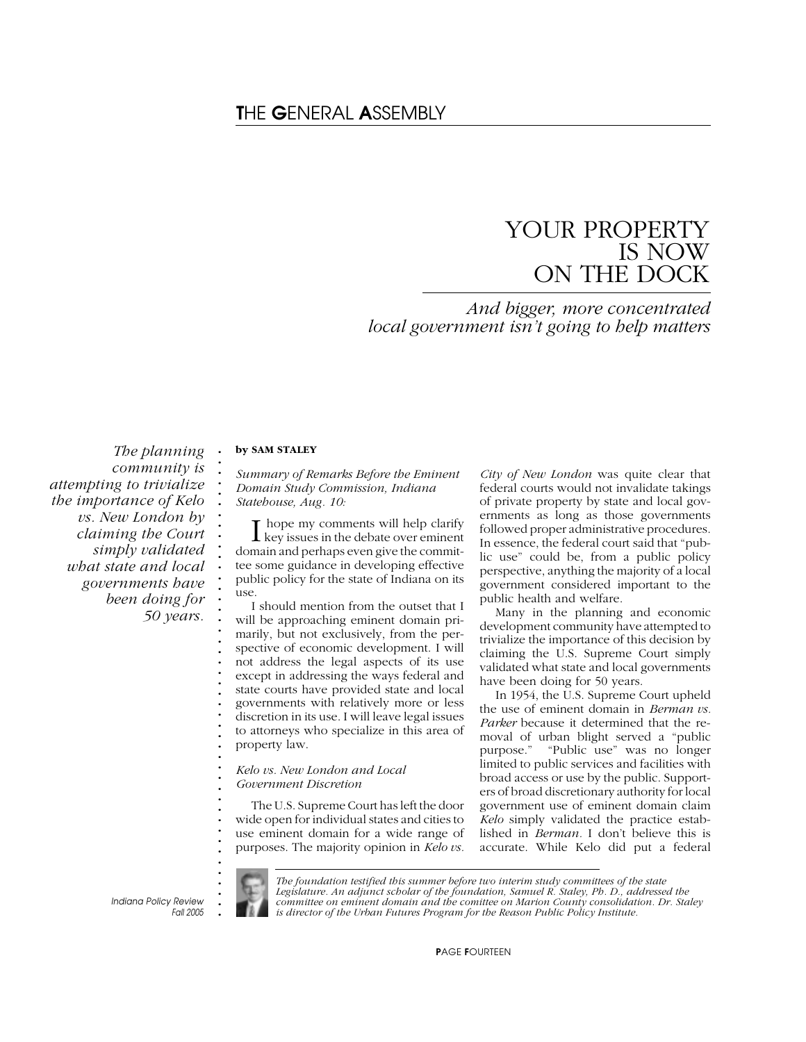# YOUR PROPERTY IS NOW ON THE DOCK

*And bigger, more concentrated local government isn't going to help matters*

*The planning community is attempting to trivialize the importance of Kelo vs. New London by claiming the Court simply validated what state and local governments have been doing for 50 years.*

### **by SAM STALEY**

**. . . . . . . . . . . . . . . . . . . . . . . . . . . . . . . . . . . . . . . . . . . .**

*Summary of Remarks Before the Eminent Domain Study Commission, Indiana Statehouse, Aug. 10:*

I hope my comments will help clarify<br>
key issues in the debate over eminent hope my comments will help clarify domain and perhaps even give the committee some guidance in developing effective public policy for the state of Indiana on its use.

I should mention from the outset that I will be approaching eminent domain primarily, but not exclusively, from the perspective of economic development. I will not address the legal aspects of its use except in addressing the ways federal and state courts have provided state and local governments with relatively more or less discretion in its use. I will leave legal issues to attorneys who specialize in this area of property law.

#### *Kelo vs. New London and Local Government Discretion*

The U.S. Supreme Court has left the door wide open for individual states and cities to use eminent domain for a wide range of purposes. The majority opinion in *Kelo vs.*

*City of New London* was quite clear that federal courts would not invalidate takings of private property by state and local governments as long as those governments followed proper administrative procedures. In essence, the federal court said that "public use" could be, from a public policy perspective, anything the majority of a local government considered important to the public health and welfare.

Many in the planning and economic development community have attempted to trivialize the importance of this decision by claiming the U.S. Supreme Court simply validated what state and local governments have been doing for 50 years.

In 1954, the U.S. Supreme Court upheld the use of eminent domain in *Berman vs. Parker* because it determined that the removal of urban blight served a "public purpose." "Public use" was no longer limited to public services and facilities with broad access or use by the public. Supporters of broad discretionary authority for local government use of eminent domain claim *Kelo* simply validated the practice established in *Berman.* I don't believe this is accurate. While Kelo did put a federal

**.** *Indiana Policy Review Fall 2005*



*The foundation testified this summer before two interim study committees of the state Legislature. An adjunct scholar of the foundation, Samuel R. Staley, Ph. D., addressed the committee on eminent domain and the comittee on Marion County consolidation. Dr. Staley is director of the Urban Futures Program for the Reason Public Policy Institute.*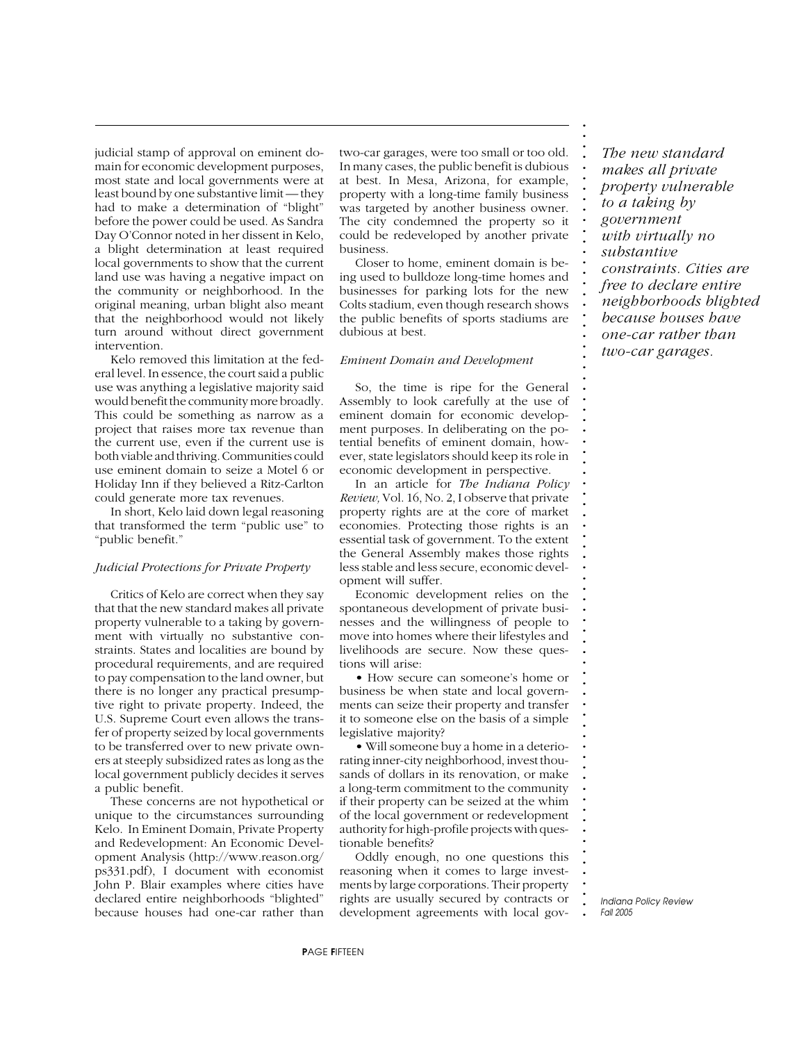judicial stamp of approval on eminent domain for economic development purposes, most state and local governments were at least bound by one substantive limit — they had to make a determination of "blight" before the power could be used. As Sandra Day O'Connor noted in her dissent in Kelo, a blight determination at least required local governments to show that the current land use was having a negative impact on the community or neighborhood. In the original meaning, urban blight also meant that the neighborhood would not likely turn around without direct government intervention.

Kelo removed this limitation at the federal level. In essence, the court said a public use was anything a legislative majority said would benefit the community more broadly. This could be something as narrow as a project that raises more tax revenue than the current use, even if the current use is both viable and thriving. Communities could use eminent domain to seize a Motel 6 or Holiday Inn if they believed a Ritz-Carlton could generate more tax revenues.

In short, Kelo laid down legal reasoning that transformed the term "public use" to "public benefit."

#### *Judicial Protections for Private Property*

Critics of Kelo are correct when they say that that the new standard makes all private property vulnerable to a taking by government with virtually no substantive constraints. States and localities are bound by procedural requirements, and are required to pay compensation to the land owner, but there is no longer any practical presumptive right to private property. Indeed, the U.S. Supreme Court even allows the transfer of property seized by local governments to be transferred over to new private owners at steeply subsidized rates as long as the local government publicly decides it serves a public benefit.

These concerns are not hypothetical or unique to the circumstances surrounding Kelo. In Eminent Domain, Private Property and Redevelopment: An Economic Development Analysis (http://www.reason.org/ ps331.pdf), I document with economist John P. Blair examples where cities have declared entire neighborhoods "blighted" because houses had one-car rather than

two-car garages, were too small or too old. In many cases, the public benefit is dubious at best. In Mesa, Arizona, for example, property with a long-time family business was targeted by another business owner. The city condemned the property so it could be redeveloped by another private business.

Closer to home, eminent domain is being used to bulldoze long-time homes and businesses for parking lots for the new Colts stadium, even though research shows the public benefits of sports stadiums are dubious at best.

#### *Eminent Domain and Development*

So, the time is ripe for the General Assembly to look carefully at the use of eminent domain for economic development purposes. In deliberating on the potential benefits of eminent domain, however, state legislators should keep its role in economic development in perspective.

In an article for *The Indiana Policy Review,* Vol. 16, No. 2, I observe that private property rights are at the core of market economies. Protecting those rights is an essential task of government. To the extent the General Assembly makes those rights less stable and less secure, economic development will suffer.

Economic development relies on the spontaneous development of private businesses and the willingness of people to move into homes where their lifestyles and livelihoods are secure. Now these questions will arise:

• How secure can someone's home or business be when state and local governments can seize their property and transfer it to someone else on the basis of a simple legislative majority?

• Will someone buy a home in a deteriorating inner-city neighborhood, invest thousands of dollars in its renovation, or make a long-term commitment to the community if their property can be seized at the whim of the local government or redevelopment authority for high-profile projects with questionable benefits?

Oddly enough, no one questions this reasoning when it comes to large investments by large corporations. Their property rights are usually secured by contracts or development agreements with local gov-

*The new standard makes all private property vulnerable to a taking by government with virtually no substantive constraints. Cities are free to declare entire neighborhoods blighted because houses have one-car rather than two-car garages.*

**. . . . . . . . . . . . . . . . . . . . . . . . . . . . . . . . . . . . . . . . . . . . . . . . . . . . . . . . . . . . . . . . . . . . . . . . . . .**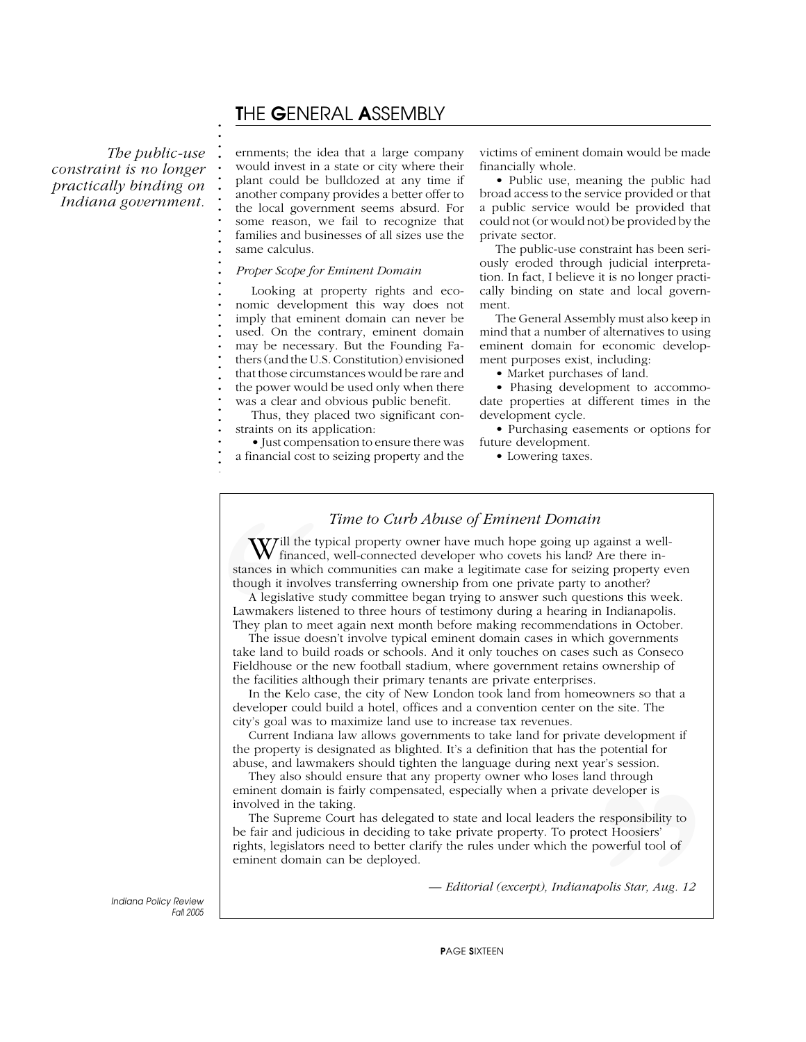# T*HE* G*ENERAL* A*SSEMBLY*

*The public-use constraint is no longer practically binding on Indiana government.*

**. . . . . . . . . . . . . . . . . . . . . . . . . . . . . . . . .**

**. . . . . . . . . . . . . . . . . . . . . . . . . . . . . . . . . . . . . . . .** ernments; the idea that a large company would invest in a state or city where their plant could be bulldozed at any time if another company provides a better offer to the local government seems absurd. For some reason, we fail to recognize that families and businesses of all sizes use the same calculus.

### *Proper Scope for Eminent Domain*

Looking at property rights and economic development this way does not imply that eminent domain can never be used. On the contrary, eminent domain may be necessary. But the Founding Fathers (and the U.S. Constitution) envisioned that those circumstances would be rare and the power would be used only when there was a clear and obvious public benefit.

Thus, they placed two significant constraints on its application:

• Just compensation to ensure there was a financial cost to seizing property and the victims of eminent domain would be made financially whole.

• Public use, meaning the public had broad access to the service provided or that a public service would be provided that could not (or would not) be provided by the private sector.

The public-use constraint has been seriously eroded through judicial interpretation. In fact, I believe it is no longer practically binding on state and local government.

The General Assembly must also keep in mind that a number of alternatives to using eminent domain for economic development purposes exist, including:

• Market purchases of land.

• Phasing development to accommodate properties at different times in the development cycle.

• Purchasing easements or options for future development.

• Lowering taxes.

### *Time to Curb Abuse of Eminent Domain*

**W** financed,<br> **W** financed,<br>
stances in which c<br>
though it involves<br>
A legislative stu<br>
Lawmakers listene<br>
They plan to meet<br>
The issue does<br>
take land to build<br>
Fieldhouse or the<br>
the facilities althou<br>
In the Kelo cas<br> Will the typical property owner have much hope going up against a well-<br>financed, well-connected developer who covets his land? Are there instances in which communities can make a legitimate case for seizing property even though it involves transferring ownership from one private party to another?

A legislative study committee began trying to answer such questions this week. Lawmakers listened to three hours of testimony during a hearing in Indianapolis. They plan to meet again next month before making recommendations in October.

The issue doesn't involve typical eminent domain cases in which governments take land to build roads or schools. And it only touches on cases such as Conseco Fieldhouse or the new football stadium, where government retains ownership of the facilities although their primary tenants are private enterprises.

In the Kelo case, the city of New London took land from homeowners so that a developer could build a hotel, offices and a convention center on the site. The city's goal was to maximize land use to increase tax revenues.

Current Indiana law allows governments to take land for private development if the property is designated as blighted. It's a definition that has the potential for abuse, and lawmakers should tighten the language during next year's session.

They also should ensure that any property owner who loses land through eminent domain is fairly compensated, especially when a private developer is involved in the taking.

Farsession.<br>
Independence is<br>
through<br>
developer is<br>
proverful tool of<br>
proverful tool of<br> *apolis Star, Aug. 12* The Supreme Court has delegated to state and local leaders the responsibility to be fair and judicious in deciding to take private property. To protect Hoosiers' rights, legislators need to better clarify the rules under which the powerful tool of eminent domain can be deployed.

*— Editorial (excerpt), Indianapolis Star, Aug. 12*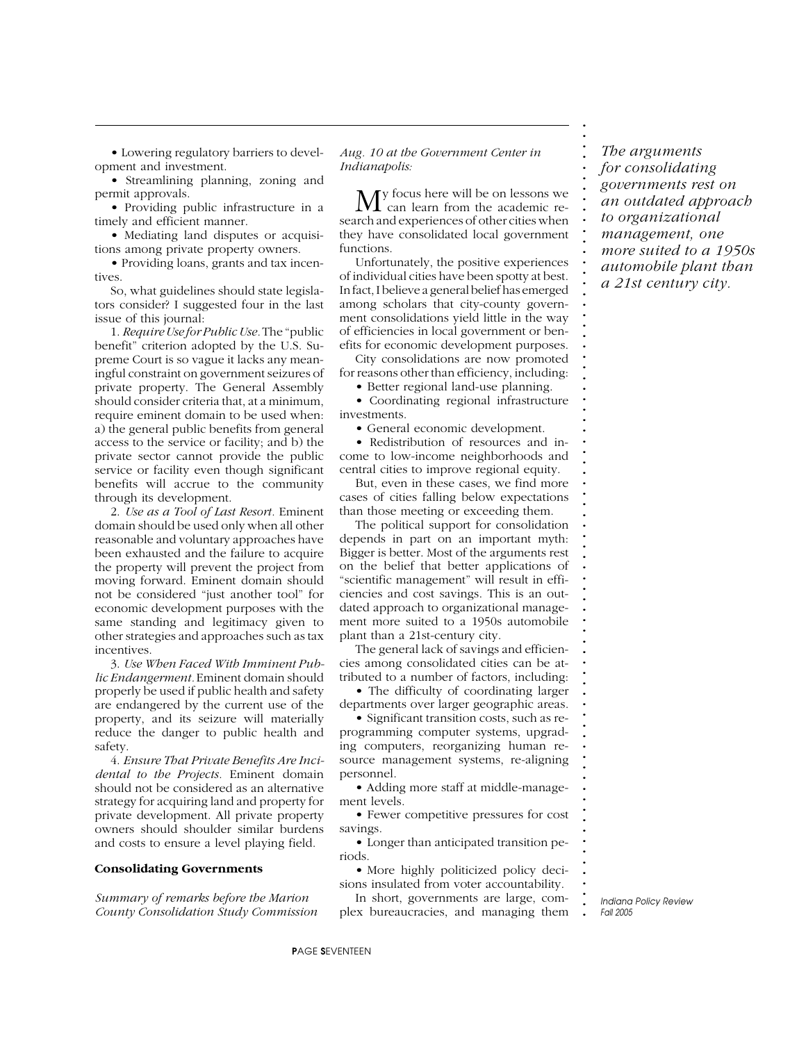• Lowering regulatory barriers to development and investment.

• Streamlining planning, zoning and permit approvals.

• Providing public infrastructure in a timely and efficient manner.

• Mediating land disputes or acquisitions among private property owners.

• Providing loans, grants and tax incentives.

So, what guidelines should state legislators consider? I suggested four in the last issue of this journal:

1. *Require Use for Public Use.* The "public benefit" criterion adopted by the U.S. Supreme Court is so vague it lacks any meaningful constraint on government seizures of private property. The General Assembly should consider criteria that, at a minimum, require eminent domain to be used when: a) the general public benefits from general access to the service or facility; and b) the private sector cannot provide the public service or facility even though significant benefits will accrue to the community through its development.

2. *Use as a Tool of Last Resort.* Eminent domain should be used only when all other reasonable and voluntary approaches have been exhausted and the failure to acquire the property will prevent the project from moving forward. Eminent domain should not be considered "just another tool" for economic development purposes with the same standing and legitimacy given to other strategies and approaches such as tax incentives.

3. *Use When Faced With Imminent Public Endangerment.* Eminent domain should properly be used if public health and safety are endangered by the current use of the property, and its seizure will materially reduce the danger to public health and safety.

4. *Ensure That Private Benefits Are Incidental to the Projects.* Eminent domain should not be considered as an alternative strategy for acquiring land and property for private development. All private property owners should shoulder similar burdens and costs to ensure a level playing field.

### **Consolidating Governments**

*Summary of remarks before the Marion County Consolidation Study Commission* *Aug. 10 at the Government Center in Indianapolis:*

My focus here will be on lessons we<br>
can learn from the academic research and experiences of other cities when they have consolidated local government functions.

Unfortunately, the positive experiences of individual cities have been spotty at best. In fact, I believe a general belief has emerged among scholars that city-county government consolidations yield little in the way of efficiencies in local government or benefits for economic development purposes.

City consolidations are now promoted for reasons other than efficiency, including:

• Better regional land-use planning.

• Coordinating regional infrastructure investments.

• General economic development.

• Redistribution of resources and income to low-income neighborhoods and central cities to improve regional equity.

But, even in these cases, we find more cases of cities falling below expectations than those meeting or exceeding them.

The political support for consolidation depends in part on an important myth: Bigger is better. Most of the arguments rest on the belief that better applications of "scientific management" will result in efficiencies and cost savings. This is an outdated approach to organizational management more suited to a 1950s automobile plant than a 21st-century city.

The general lack of savings and efficiencies among consolidated cities can be attributed to a number of factors, including:

• The difficulty of coordinating larger departments over larger geographic areas.

• Significant transition costs, such as reprogramming computer systems, upgrading computers, reorganizing human resource management systems, re-aligning personnel.

• Adding more staff at middle-management levels.

• Fewer competitive pressures for cost savings.

• Longer than anticipated transition periods.

• More highly politicized policy decisions insulated from voter accountability.

In short, governments are large, complex bureaucracies, and managing them

*The arguments for consolidating governments rest on an outdated approach to organizational management, one more suited to a 1950s automobile plant than a 21st century city.*

**. . . . . . . . . . . . . . . . . . . . . . . . . . . . . . . . . . . . . . . . . . . . . . . . . . . . . . . . . . . . . . . . . . . . . . . . . . .**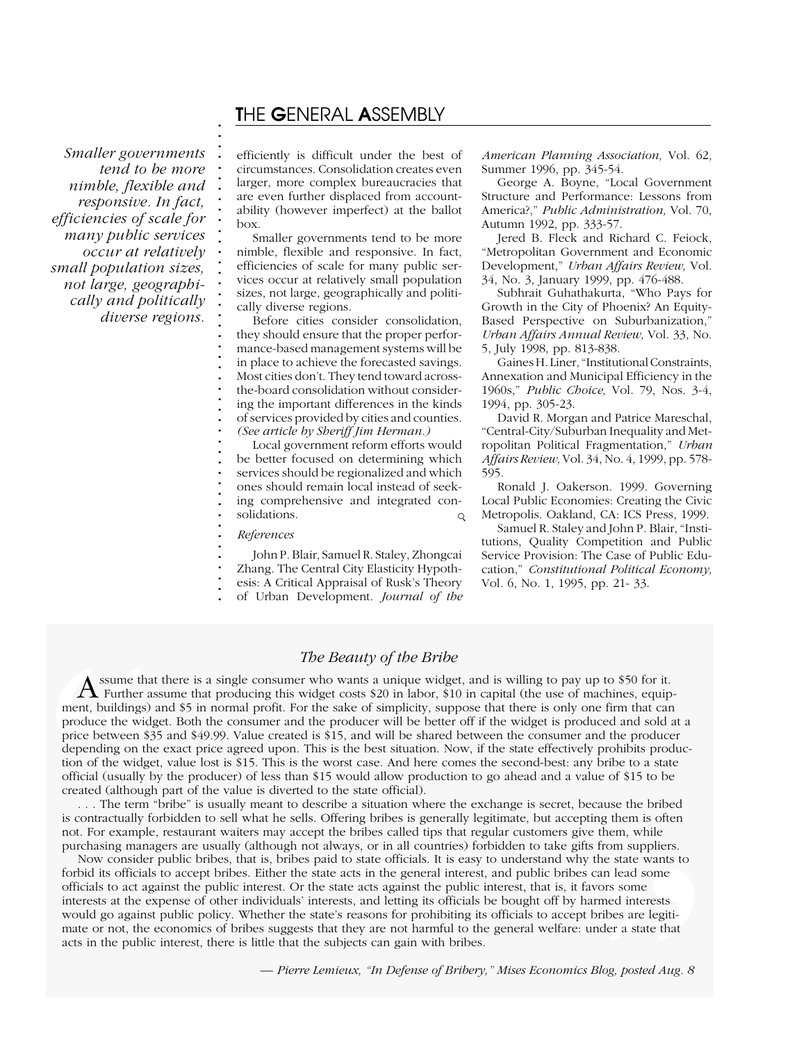## T*HE* G*ENERAL* A*SSEMBLY*

*Smaller governments tend to be more nimble, flexible and responsive. In fact, efficiencies of scale for many public services occur at relatively small population sizes, not large, geographically and politically diverse regions.*

**. . . . . . . . . . . . . . . . . . . . . . . . . . . . . . . . . . . . . . . . . . . . . .**

efficiently is difficult under the best of circumstances. Consolidation creates even larger, more complex bureaucracies that are even further displaced from accountability (however imperfect) at the ballot box.

Smaller governments tend to be more nimble, flexible and responsive. In fact, efficiencies of scale for many public services occur at relatively small population sizes, not large, geographically and politically diverse regions.

Before cities consider consolidation, they should ensure that the proper performance-based management systems will be in place to achieve the forecasted savings. Most cities don't. They tend toward acrossthe-board consolidation without considering the important differences in the kinds of services provided by cities and counties. *(See article by Sheriff Jim Herman.)*

Local government reform efforts would be better focused on determining which services should be regionalized and which ones should remain local instead of seeking comprehensive and integrated consolidations.  $\circ$ 

*References*

John P. Blair, Samuel R. Staley, Zhongcai Zhang. The Central City Elasticity Hypoth-

esis: A Critical Appraisal of Rusk's Theory

of Urban Development. *Journal of the*

*American Planning Association,* Vol. 62, Summer 1996, pp. 345-54.

George A. Boyne, "Local Government Structure and Performance: Lessons from America?," *Public Administration,* Vol. 70, Autumn 1992, pp. 333-57.

Jered B. Fleck and Richard C. Feiock, "Metropolitan Government and Economic Development," *Urban Affairs Review,* Vol. 34, No. 3, January 1999, pp. 476-488.

Subhrait Guhathakurta, "Who Pays for Growth in the City of Phoenix? An Equity-Based Perspective on Suburbanization," *Urban Affairs Annual Review,* Vol. 33, No. 5, July 1998, pp. 813-838.

Gaines H. Liner, "Institutional Constraints, Annexation and Municipal Efficiency in the 1960s," *Public Choice,* Vol. 79, Nos. 3-4, 1994, pp. 305-23.

David R. Morgan and Patrice Mareschal, "Central-City/Suburban Inequality and Metropolitan Political Fragmentation," *Urban Affairs Review,* Vol. 34, No. 4, 1999, pp. 578- 595.

Ronald J. Oakerson. 1999. Governing Local Public Economies: Creating the Civic Metropolis. Oakland, CA: ICS Press, 1999.

Samuel R. Staley and John P. Blair, "Institutions, Quality Competition and Public Service Provision: The Case of Public Education," *Constitutional Political Economy,* Vol. 6, No. 1, 1995, pp. 21- 33.

### *The Beauty of the Bribe*

**. .** A ssume that there is a single consumer who wants a unique widget, and is willing to pay up to \$50 for it.<br>Further assume that producing this widget costs \$20 in labor, \$10 in capital (the use of machines, equip-**. . . i** tank assume that producing ans waget costs (25 in hasor, (10 in capital (the use of matemies, equipment, buildings) and \$5 in normal profit. For the sake of simplicity, suppose that there is only one firm t **.** produce the widget. Both the consumer and the producer will be better off if the widget is produced and sold at a **.** price between \$35 and \$49.99. Value created is \$15, and will be shared between the consumer and the producer **.** depending on the exact price agreed upon. This is the best situation. Now, if the state effectively prohibits produc-**.** tion of the widget, value lost is \$15. This is the worst case. And here comes the second-best: any bribe to a state **.** official (usually by the producer) of less than \$15 would allow production to go ahead and a value of \$15 to be **.** created (although part of the value is diverted to the state official). **A** ssume that<br> **T** Further as<br>
ment, buildings) a<br>
produce the widg<br>
price between \$35<br>
depending on the<br>
tion of the widget<br>
official (usually by<br>
created (although<br>
... The term "<br>
is contractually fo<br>
not. For example,

**. .** . . . The term "bribe" is usually meant to describe a situation where the exchange is secret, because the bribed **.** is contractually forbidden to sell what he sells. Offering bribes is generally legitimate, but accepting them is often not. For example, restaurant waiters may accept the bribes called tips that regular customers give them, while **. .** purchasing managers are usually (although not always, or in all countries) forbidden to take gifts from suppliers.

**.** Now consider public bribes, that is, bribes paid to state officials. It is easy to understand why the state wants to forbid its officials to accept bribes. Either the state acts in the general interest, and public bribes can lead some **. .** officials to act against the public interest. Or the state acts against the public interest, that is, it favors some **.** interests at the expense of other individuals' interests, and letting its officials be bought off by harmed interests interests at the expense of other individuals' interests, and letting its officials be bought off by harmed interests<br>would go against public policy. Whether the state's reasons for prohibiting its officials to accept brib From suppliers.<br>the state wants to<br>can lead some<br>vors some<br>urmed interests<br>bribes are legiti-<br>nder a state that<br>*Blog, posted Aug. 8* mate or not, the economics of bribes suggests that they are not harmful to the general welfare: under a state that acts in the public interest, there is little that the subjects can gain with bribes.

*— Pierre Lemieux, "In Defense of Bribery," Mises Economics Blog, posted Aug. 8*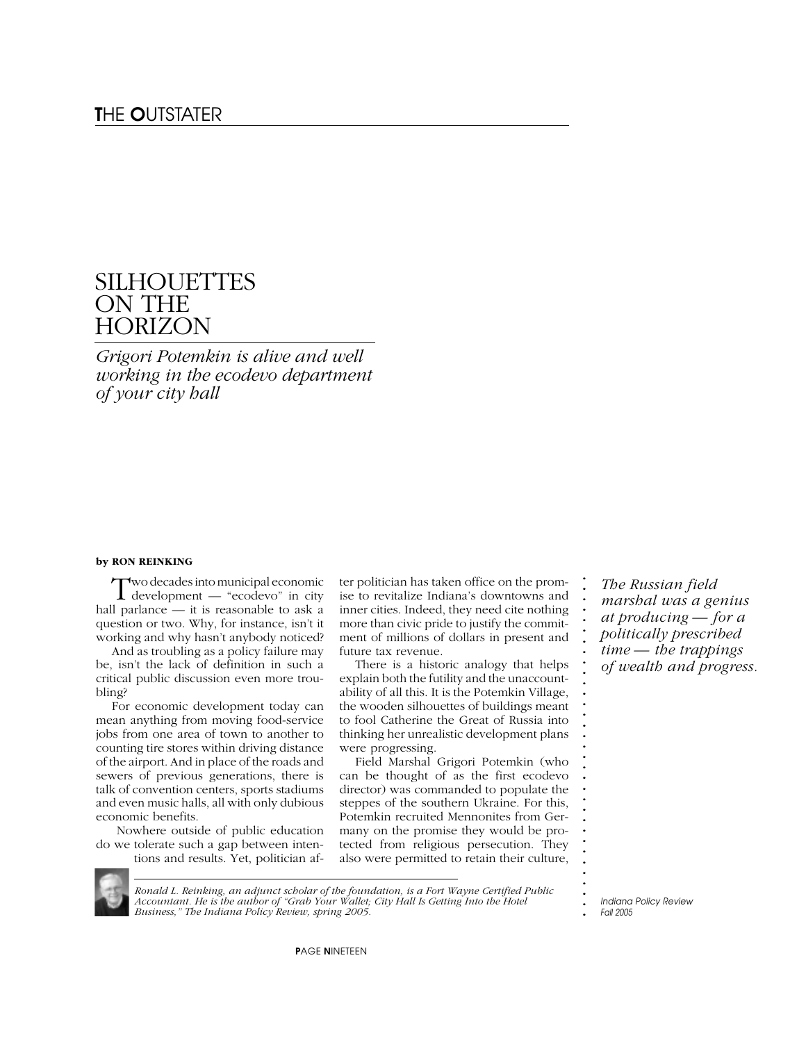# **SILHOUETTES** ON THE **HORIZON**

*Grigori Potemkin is alive and well working in the ecodevo department of your city hall*

#### **by RON REINKING**

Two decades into municipal economic development — "ecodevo" in city hall parlance — it is reasonable to ask a question or two. Why, for instance, isn't it working and why hasn't anybody noticed?

And as troubling as a policy failure may be, isn't the lack of definition in such a critical public discussion even more troubling?

For economic development today can mean anything from moving food-service jobs from one area of town to another to counting tire stores within driving distance of the airport. And in place of the roads and sewers of previous generations, there is talk of convention centers, sports stadiums and even music halls, all with only dubious economic benefits.

 Nowhere outside of public education do we tolerate such a gap between intentions and results. Yet, politician after politician has taken office on the promise to revitalize Indiana's downtowns and inner cities. Indeed, they need cite nothing more than civic pride to justify the commitment of millions of dollars in present and future tax revenue.

There is a historic analogy that helps explain both the futility and the unaccountability of all this. It is the Potemkin Village, the wooden silhouettes of buildings meant to fool Catherine the Great of Russia into thinking her unrealistic development plans were progressing.

Field Marshal Grigori Potemkin (who can be thought of as the first ecodevo director) was commanded to populate the steppes of the southern Ukraine. For this, Potemkin recruited Mennonites from Germany on the promise they would be protected from religious persecution. They also were permitted to retain their culture,

*The Russian field marshal was a genius at producing — for a politically prescribed time — the trappings of wealth and progress.*

**. . . . . . . . . . . . . . . . . . . . . . . . . . . . . . . .**

*Ronald L. Reinking, an adjunct scholar of the foundation, is a Fort Wayne Certified Public Accountant. He is the author of "Grab Your Wallet; City Hall Is Getting Into the Hotel Business," The Indiana Policy Review, spring 2005.*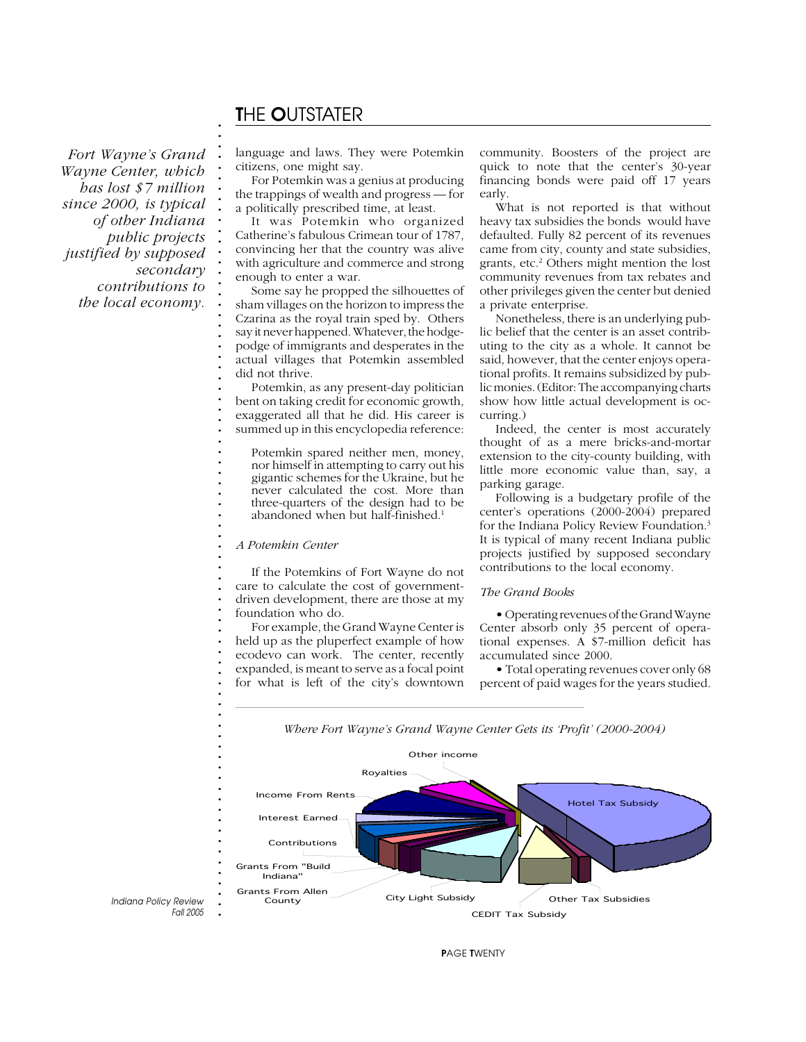# T*HE* O*UTSTATER*

**. . . . . . . . . . . . . . . . . . . . . . . . . . . . . . . . . . . . . . . . . . . . . . . . . . . . . . . . .**

*Fort Wayne's Grand Wayne Center, which has lost \$7 million since 2000, is typical of other Indiana public projects justified by supposed secondary contributions to the local economy.*

language and laws. They were Potemkin citizens, one might say.

For Potemkin was a genius at producing the trappings of wealth and progress — for a politically prescribed time, at least.

It was Potemkin who organized Catherine's fabulous Crimean tour of 1787, convincing her that the country was alive with agriculture and commerce and strong enough to enter a war.

Some say he propped the silhouettes of sham villages on the horizon to impress the Czarina as the royal train sped by. Others say it never happened. Whatever, the hodgepodge of immigrants and desperates in the actual villages that Potemkin assembled did not thrive.

Potemkin, as any present-day politician bent on taking credit for economic growth, exaggerated all that he did. His career is summed up in this encyclopedia reference:

Potemkin spared neither men, money, nor himself in attempting to carry out his gigantic schemes for the Ukraine, but he never calculated the cost. More than three-quarters of the design had to be abandoned when but half-finished.<sup>1</sup>

#### *A Potemkin Center*

If the Potemkins of Fort Wayne do not care to calculate the cost of governmentdriven development, there are those at my foundation who do.

For example, the Grand Wayne Center is held up as the pluperfect example of how ecodevo can work. The center, recently expanded, is meant to serve as a focal point for what is left of the city's downtown community. Boosters of the project are quick to note that the center's 30-year financing bonds were paid off 17 years early.

What is not reported is that without heavy tax subsidies the bonds would have defaulted. Fully 82 percent of its revenues came from city, county and state subsidies, grants, etc.2 Others might mention the lost community revenues from tax rebates and other privileges given the center but denied a private enterprise.

Nonetheless, there is an underlying public belief that the center is an asset contributing to the city as a whole. It cannot be said, however, that the center enjoys operational profits. It remains subsidized by public monies. (Editor: The accompanying charts show how little actual development is occurring.)

Indeed, the center is most accurately thought of as a mere bricks-and-mortar extension to the city-county building, with little more economic value than, say, a parking garage.

Following is a budgetary profile of the center's operations (2000-2004) prepared for the Indiana Policy Review Foundation.3 It is typical of many recent Indiana public projects justified by supposed secondary contributions to the local economy.

#### *The Grand Books*

• Operating revenues of the Grand Wayne Center absorb only 35 percent of operational expenses. A \$7-million deficit has accumulated since 2000.

• Total operating revenues cover only 68 percent of paid wages for the years studied.

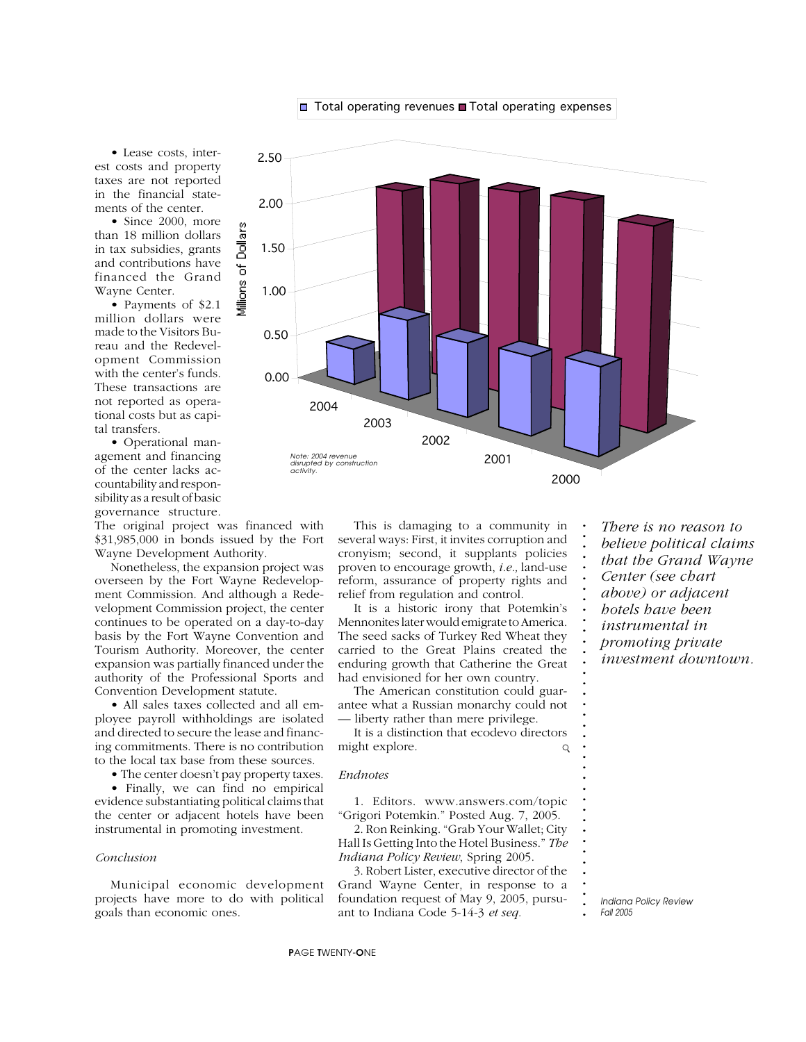**.**

**. . . . . . .**

**. . . . . . . . . . . . . . . . . . . . . . . .**

• Lease costs, interest costs and property taxes are not reported in the financial statements of the center.

• Since 2000, more than 18 million dollars in tax subsidies, grants and contributions have financed the Grand Wayne Center.

• Payments of \$2.1 million dollars were made to the Visitors Bureau and the Redevelopment Commission with the center's funds. These transactions are not reported as operational costs but as capital transfers.

• Operational management and financing of the center lacks accountability and responsibility as a result of basic governance structure.

The original project was financed with \$31,985,000 in bonds issued by the Fort Wayne Development Authority.

Nonetheless, the expansion project was overseen by the Fort Wayne Redevelopment Commission. And although a Redevelopment Commission project, the center continues to be operated on a day-to-day basis by the Fort Wayne Convention and Tourism Authority. Moreover, the center expansion was partially financed under the authority of the Professional Sports and Convention Development statute.

• All sales taxes collected and all employee payroll withholdings are isolated and directed to secure the lease and financing commitments. There is no contribution to the local tax base from these sources.

• The center doesn't pay property taxes.

• Finally, we can find no empirical evidence substantiating political claims that the center or adjacent hotels have been instrumental in promoting investment.

#### *Conclusion*

Municipal economic development projects have more to do with political goals than economic ones.



This is damaging to a community in several ways: First, it invites corruption and cronyism; second, it supplants policies proven to encourage growth, *i.e.,* land-use reform, assurance of property rights and relief from regulation and control.

It is a historic irony that Potemkin's Mennonites later would emigrate to America. The seed sacks of Turkey Red Wheat they carried to the Great Plains created the enduring growth that Catherine the Great had envisioned for her own country.

The American constitution could guarantee what a Russian monarchy could not — liberty rather than mere privilege.

It is a distinction that ecodevo directors might explore.  $\mathsf{Q}$ 

*Endnotes*

1. Editors. www.answers.com/topic "Grigori Potemkin." Posted Aug. 7, 2005.

2. Ron Reinking. "Grab Your Wallet; City Hall Is Getting Into the Hotel Business." *The Indiana Policy Review*, Spring 2005.

3. Robert Lister, executive director of the Grand Wayne Center, in response to a foundation request of May 9, 2005, pursuant to Indiana Code 5-14-3 *et seq.*

*There is no reason to believe political claims that the Grand Wayne Center (see chart*

*above) or adjacent*

**. .** *hotels have been*

**. .** *instrumental in*

**. .** *promoting private*

*investment downtown.*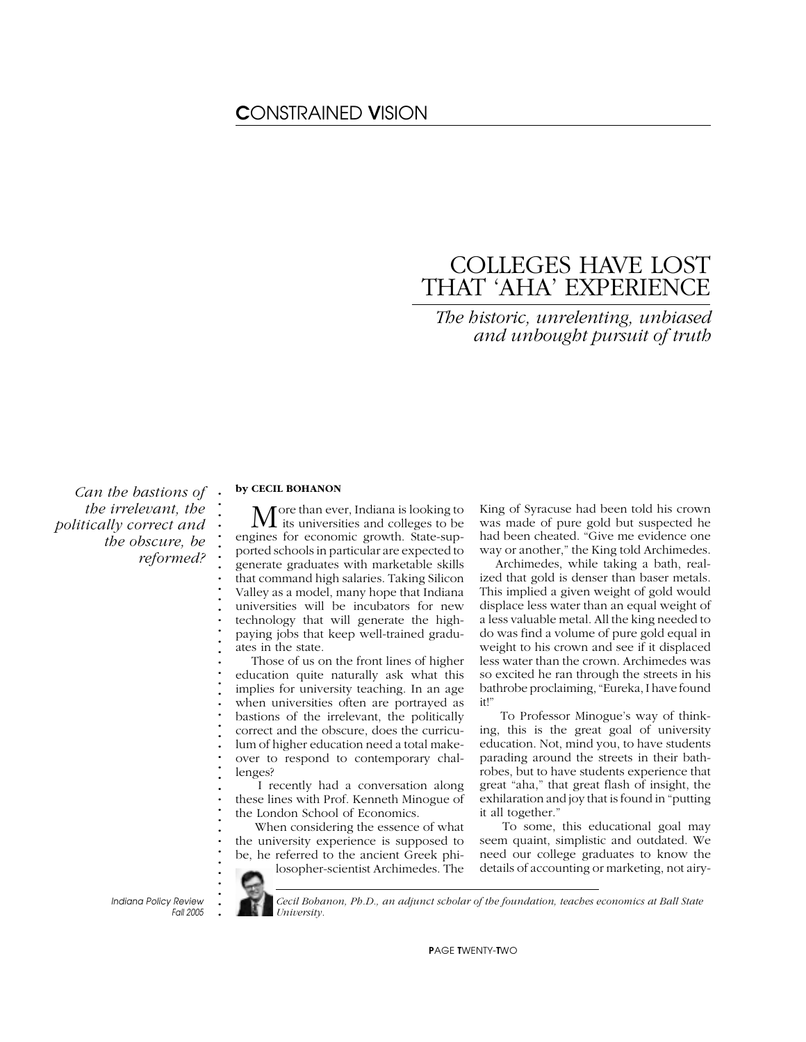# C*ONSTRAINED* V*ISION*

# COLLEGES HAVE LOST THAT 'AHA' EXPERIENCE

*The historic, unrelenting, unbiased and unbought pursuit of truth*

*Can the bastions of the irrelevant, the politically correct and the obscure, be reformed?*

#### **by CECIL BOHANON**

**. . . . . . . . . . . . . . . . . . . . . . . . . . . . . . . . . . . . . . . .**

 $\mathbf M$  ore than ever, Indiana is looking to be engines for economic growth. State-supported schools in particular are expected to generate graduates with marketable skills that command high salaries. Taking Silicon Valley as a model, many hope that Indiana universities will be incubators for new technology that will generate the highpaying jobs that keep well-trained graduates in the state.

Those of us on the front lines of higher education quite naturally ask what this implies for university teaching. In an age when universities often are portrayed as bastions of the irrelevant, the politically correct and the obscure, does the curriculum of higher education need a total makeover to respond to contemporary challenges?

 I recently had a conversation along these lines with Prof. Kenneth Minogue of the London School of Economics.

 When considering the essence of what the university experience is supposed to be, he referred to the ancient Greek philosopher-scientist Archimedes. The

King of Syracuse had been told his crown was made of pure gold but suspected he had been cheated. "Give me evidence one way or another," the King told Archimedes.

Archimedes, while taking a bath, realized that gold is denser than baser metals. This implied a given weight of gold would displace less water than an equal weight of a less valuable metal. All the king needed to do was find a volume of pure gold equal in weight to his crown and see if it displaced less water than the crown. Archimedes was so excited he ran through the streets in his bathrobe proclaiming, "Eureka, I have found it!"

 To Professor Minogue's way of thinking, this is the great goal of university education. Not, mind you, to have students parading around the streets in their bathrobes, but to have students experience that great "aha," that great flash of insight, the exhilaration and joy that is found in "putting it all together."

 To some, this educational goal may seem quaint, simplistic and outdated. We need our college graduates to know the details of accounting or marketing, not airy-

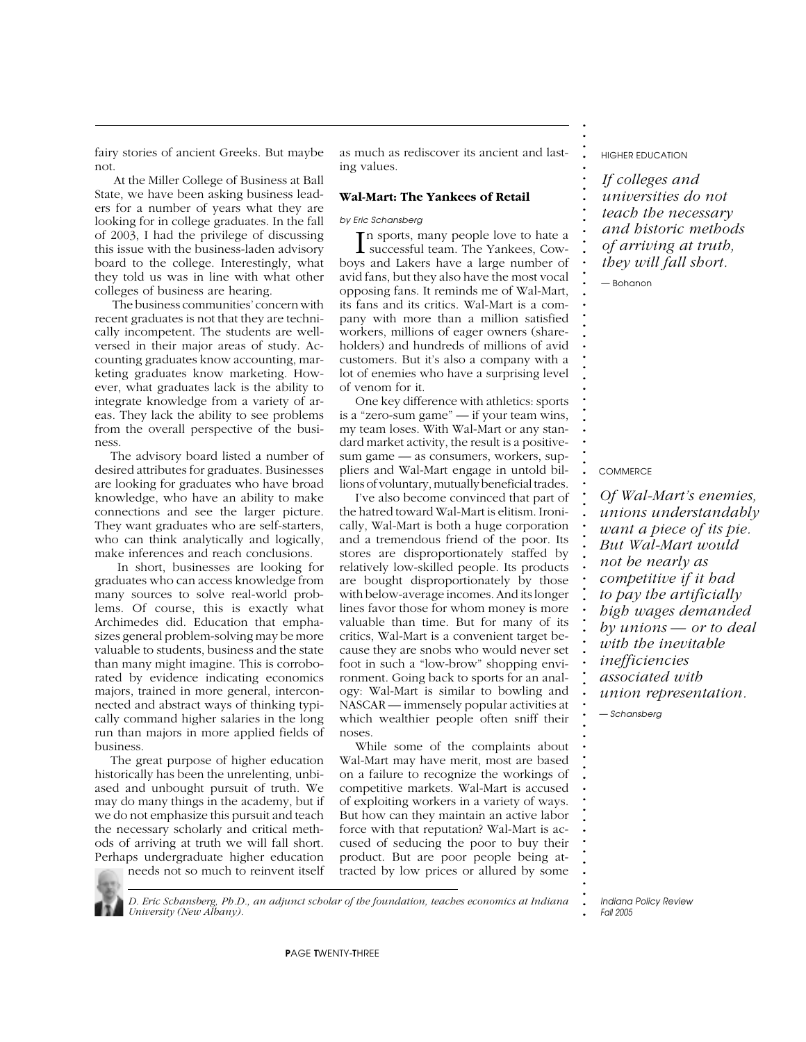fairy stories of ancient Greeks. But maybe not.

 At the Miller College of Business at Ball State, we have been asking business leaders for a number of years what they are looking for in college graduates. In the fall of 2003, I had the privilege of discussing this issue with the business-laden advisory board to the college. Interestingly, what they told us was in line with what other colleges of business are hearing.

 The business communities' concern with recent graduates is not that they are technically incompetent. The students are wellversed in their major areas of study. Accounting graduates know accounting, marketing graduates know marketing. However, what graduates lack is the ability to integrate knowledge from a variety of areas. They lack the ability to see problems from the overall perspective of the business.

The advisory board listed a number of desired attributes for graduates. Businesses are looking for graduates who have broad knowledge, who have an ability to make connections and see the larger picture. They want graduates who are self-starters, who can think analytically and logically, make inferences and reach conclusions.

 In short, businesses are looking for graduates who can access knowledge from many sources to solve real-world problems. Of course, this is exactly what Archimedes did. Education that emphasizes general problem-solving may be more valuable to students, business and the state than many might imagine. This is corroborated by evidence indicating economics majors, trained in more general, interconnected and abstract ways of thinking typically command higher salaries in the long run than majors in more applied fields of business.

The great purpose of higher education historically has been the unrelenting, unbiased and unbought pursuit of truth. We may do many things in the academy, but if we do not emphasize this pursuit and teach the necessary scholarly and critical methods of arriving at truth we will fall short. Perhaps undergraduate higher education needs not so much to reinvent itself

as much as rediscover its ancient and lasting values.

#### **Wal-Mart: The Yankees of Retail**

*by Eric Schansberg*

In sports, many people love to hate a<br>successful team. The Yankees, Cown sports, many people love to hate a boys and Lakers have a large number of avid fans, but they also have the most vocal opposing fans. It reminds me of Wal-Mart, its fans and its critics. Wal-Mart is a company with more than a million satisfied workers, millions of eager owners (shareholders) and hundreds of millions of avid customers. But it's also a company with a lot of enemies who have a surprising level of venom for it.

One key difference with athletics: sports is a "zero-sum game" — if your team wins, my team loses. With Wal-Mart or any standard market activity, the result is a positivesum game — as consumers, workers, suppliers and Wal-Mart engage in untold billions of voluntary, mutually beneficial trades.

I've also become convinced that part of the hatred toward Wal-Mart is elitism. Ironically, Wal-Mart is both a huge corporation and a tremendous friend of the poor. Its stores are disproportionately staffed by relatively low-skilled people. Its products are bought disproportionately by those with below-average incomes. And its longer lines favor those for whom money is more valuable than time. But for many of its critics, Wal-Mart is a convenient target because they are snobs who would never set foot in such a "low-brow" shopping environment. Going back to sports for an analogy: Wal-Mart is similar to bowling and NASCAR — immensely popular activities at which wealthier people often sniff their noses.

While some of the complaints about Wal-Mart may have merit, most are based on a failure to recognize the workings of competitive markets. Wal-Mart is accused of exploiting workers in a variety of ways. But how can they maintain an active labor force with that reputation? Wal-Mart is accused of seducing the poor to buy their product. But are poor people being attracted by low prices or allured by some

*HIGHER EDUCATION*

**. . . . . . . . . . . . . . . . . . . . . . . . . . . . . . . . . . . . . . . . . . . . . . . . . . . . . . . . . . . . . . . . . . . . . . . . . . .**

*If colleges and universities do not teach the necessary and historic methods of arriving at truth, they will fall short.*

*— Bohanon*

*COMMERCE*

*Of Wal-Mart's enemies, unions understandably want a piece of its pie. But Wal-Mart would not be nearly as competitive if it had to pay the artificially high wages demanded by unions — or to deal with the inevitable inefficiencies associated with union representation. — Schansberg*

*D. Eric Schansberg, Ph.D., an adjunct scholar of the foundation, teaches economics at Indiana University (New Albany).*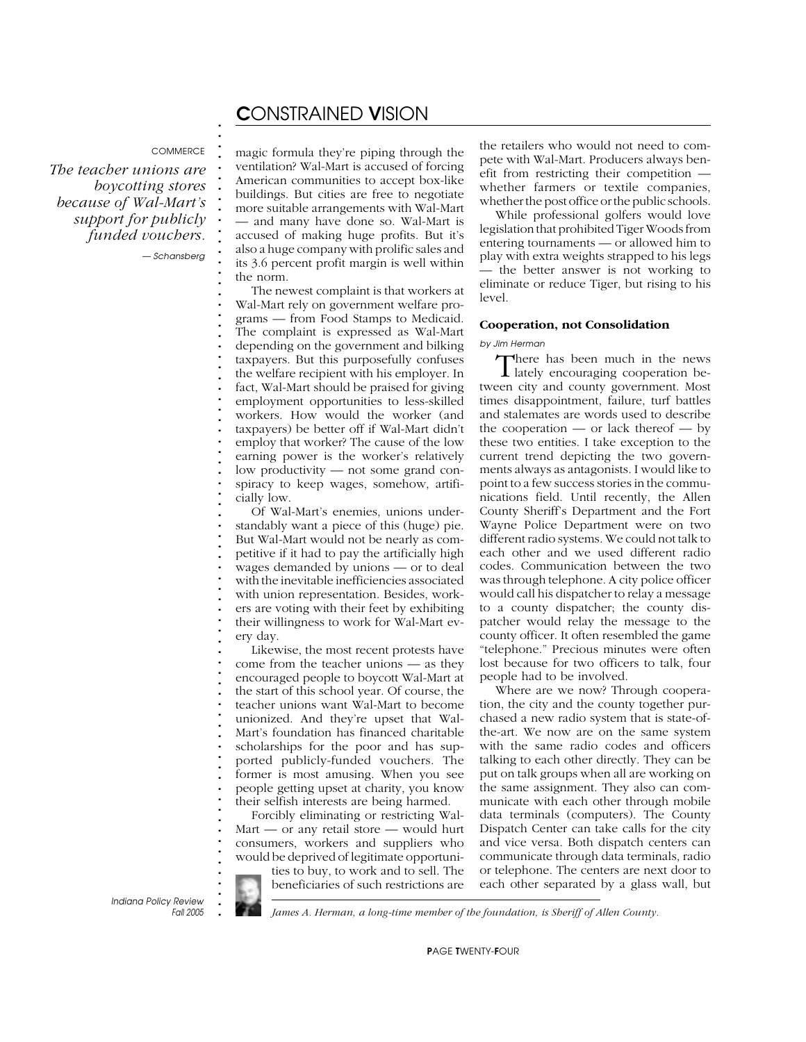## C*ONSTRAINED* V*ISION*

#### *COMMERCE*

**. . . . . . . . . . . . . . . . . . . . . . . . . . . . . . . . . . . . . . . . . . . . . . . . . . . . . . . . . . . . . . . . . . . . . . . . . . .**

*The teacher unions are boycotting stores because of Wal-Mart's support for publicly funded vouchers.*

*— Schansberg*

magic formula they're piping through the ventilation? Wal-Mart is accused of forcing American communities to accept box-like buildings. But cities are free to negotiate more suitable arrangements with Wal-Mart — and many have done so. Wal-Mart is accused of making huge profits. But it's also a huge company with prolific sales and its 3.6 percent profit margin is well within the norm.

The newest complaint is that workers at Wal-Mart rely on government welfare programs — from Food Stamps to Medicaid. The complaint is expressed as Wal-Mart depending on the government and bilking taxpayers. But this purposefully confuses the welfare recipient with his employer. In fact, Wal-Mart should be praised for giving employment opportunities to less-skilled workers. How would the worker (and taxpayers) be better off if Wal-Mart didn't employ that worker? The cause of the low earning power is the worker's relatively low productivity — not some grand conspiracy to keep wages, somehow, artificially low.

Of Wal-Mart's enemies, unions understandably want a piece of this (huge) pie. But Wal-Mart would not be nearly as competitive if it had to pay the artificially high wages demanded by unions — or to deal with the inevitable inefficiencies associated with union representation. Besides, workers are voting with their feet by exhibiting their willingness to work for Wal-Mart every day.

Likewise, the most recent protests have come from the teacher unions — as they encouraged people to boycott Wal-Mart at the start of this school year. Of course, the teacher unions want Wal-Mart to become unionized. And they're upset that Wal-Mart's foundation has financed charitable scholarships for the poor and has supported publicly-funded vouchers. The former is most amusing. When you see people getting upset at charity, you know their selfish interests are being harmed.

Forcibly eliminating or restricting Wal-Mart — or any retail store — would hurt consumers, workers and suppliers who would be deprived of legitimate opportunities to buy, to work and to sell. The beneficiaries of such restrictions are

the retailers who would not need to compete with Wal-Mart. Producers always benefit from restricting their competition whether farmers or textile companies, whether the post office or the public schools.

While professional golfers would love legislation that prohibited Tiger Woods from entering tournaments — or allowed him to play with extra weights strapped to his legs — the better answer is not working to eliminate or reduce Tiger, but rising to his level.

### **Cooperation, not Consolidation**

*by Jim Herman*

There has been much in the news lately encouraging cooperation between city and county government. Most times disappointment, failure, turf battles and stalemates are words used to describe the cooperation — or lack thereof — by these two entities. I take exception to the current trend depicting the two governments always as antagonists. I would like to point to a few success stories in the communications field. Until recently, the Allen County Sheriff's Department and the Fort Wayne Police Department were on two different radio systems. We could not talk to each other and we used different radio codes. Communication between the two was through telephone. A city police officer would call his dispatcher to relay a message to a county dispatcher; the county dispatcher would relay the message to the county officer. It often resembled the game "telephone." Precious minutes were often lost because for two officers to talk, four people had to be involved.

Where are we now? Through cooperation, the city and the county together purchased a new radio system that is state-ofthe-art. We now are on the same system with the same radio codes and officers talking to each other directly. They can be put on talk groups when all are working on the same assignment. They also can communicate with each other through mobile data terminals (computers). The County Dispatch Center can take calls for the city and vice versa. Both dispatch centers can communicate through data terminals, radio or telephone. The centers are next door to each other separated by a glass wall, but

**.** *Indiana Policy Review Fall 2005*

*James A. Herman, a long-time member of the foundation, is Sheriff of Allen County.*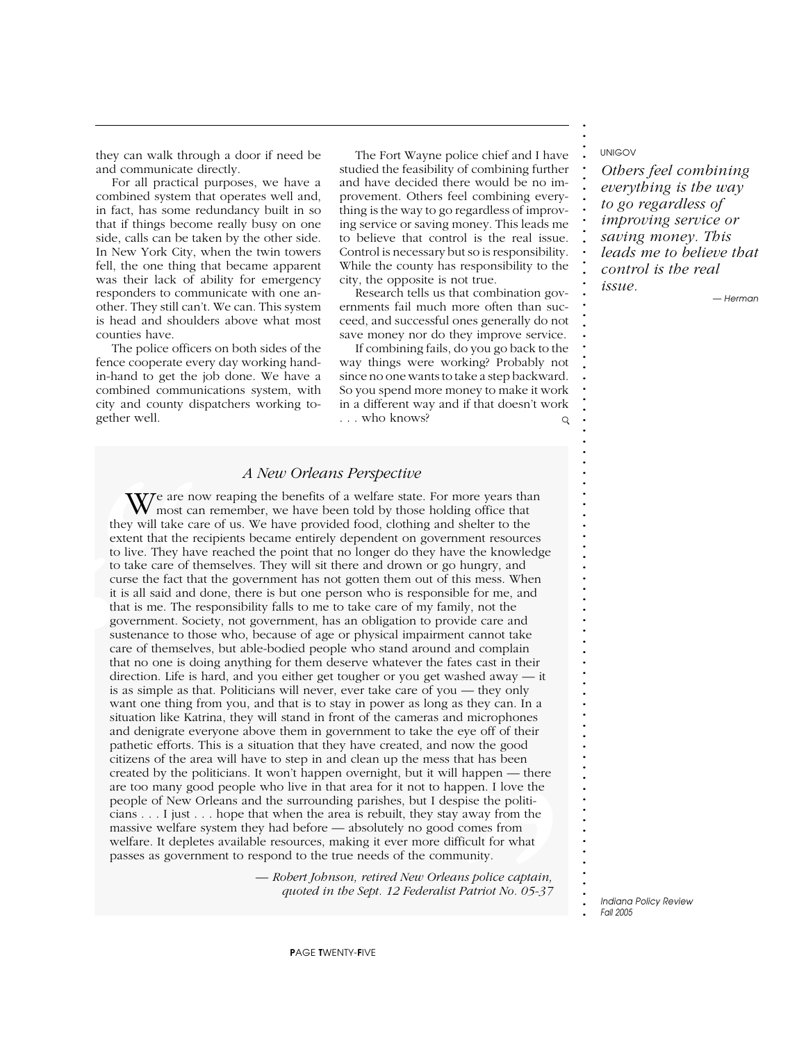they can walk through a door if need be and communicate directly.

For all practical purposes, we have a combined system that operates well and, in fact, has some redundancy built in so that if things become really busy on one side, calls can be taken by the other side. In New York City, when the twin towers fell, the one thing that became apparent was their lack of ability for emergency responders to communicate with one another. They still can't. We can. This system is head and shoulders above what most counties have.

The police officers on both sides of the fence cooperate every day working handin-hand to get the job done. We have a combined communications system, with city and county dispatchers working together well.

The Fort Wayne police chief and I have studied the feasibility of combining further and have decided there would be no improvement. Others feel combining everything is the way to go regardless of improving service or saving money. This leads me to believe that control is the real issue. Control is necessary but so is responsibility. While the county has responsibility to the city, the opposite is not true.

Research tells us that combination governments fail much more often than succeed, and successful ones generally do not save money nor do they improve service.

If combining fails, do you go back to the way things were working? Probably not since no one wants to take a step backward. So you spend more money to make it work in a different way and if that doesn't work . . . who knows?  $\mathsf{Q}$ 

## *A New Orleans Perspective*

**W** most can they will take care extent that the rector to live. They have to take care of the curse the fact that it is all said and do that is me. The res government. Socie sustenance to thos care of themselves that no o to<br>
ex<br>
to<br>
to<br>
to<br>
cu<br>
it is<br>
go<br>
su:<br>
ca<br>
ci<br>
si wa<br>
situ<br>
an<br>
pa<br>
ci<br>
cr<br>
ex<br>
ex<br>
ex<br>
ex<br>
cr that has been<br>Il happen — there<br>appen. I love the<br>sepise the politi-<br>y away from the<br>d comes from<br>ifficult for what<br>munity.<br>*ans police captain*,<br>*t Patriot No. 05-37* We are now reaping the benefits of a welfare state. For more years than<br>most can remember, we have been told by those holding office that they will take care of us. We have provided food, clothing and shelter to the extent that the recipients became entirely dependent on government resources to live. They have reached the point that no longer do they have the knowledge to take care of themselves. They will sit there and drown or go hungry, and curse the fact that the government has not gotten them out of this mess. When it is all said and done, there is but one person who is responsible for me, and that is me. The responsibility falls to me to take care of my family, not the government. Society, not government, has an obligation to provide care and sustenance to those who, because of age or physical impairment cannot take care of themselves, but able-bodied people who stand around and complain that no one is doing anything for them deserve whatever the fates cast in their direction. Life is hard, and you either get tougher or you get washed away — it is as simple as that. Politicians will never, ever take care of you — they only want one thing from you, and that is to stay in power as long as they can. In a situation like Katrina, they will stand in front of the cameras and microphones and denigrate everyone above them in government to take the eye off of their pathetic efforts. This is a situation that they have created, and now the good citizens of the area will have to step in and clean up the mess that has been created by the politicians. It won't happen overnight, but it will happen — there are too many good people who live in that area for it not to happen. I love the people of New Orleans and the surrounding parishes, but I despise the politicians . . . I just . . . hope that when the area is rebuilt, they stay away from the massive welfare system they had before — absolutely no good comes from welfare. It depletes available resources, making it ever more difficult for what passes as government to respond to the true needs of the community.

*— Robert Johnson, retired New Orleans police captain, quoted in the Sept. 12 Federalist Patriot No. 05-37* *UNIGOV*

**. . . . . . . . . . . . . . . . . . . . . . . . . . . . . . . . . . . . . . . . . . . . . . . . . . . . . . . . . . . . . . . . . . . . . . . . . . .**

*Others feel combining everything is the way to go regardless of improving service or saving money. This leads me to believe that control is the real issue.*

*— Herman*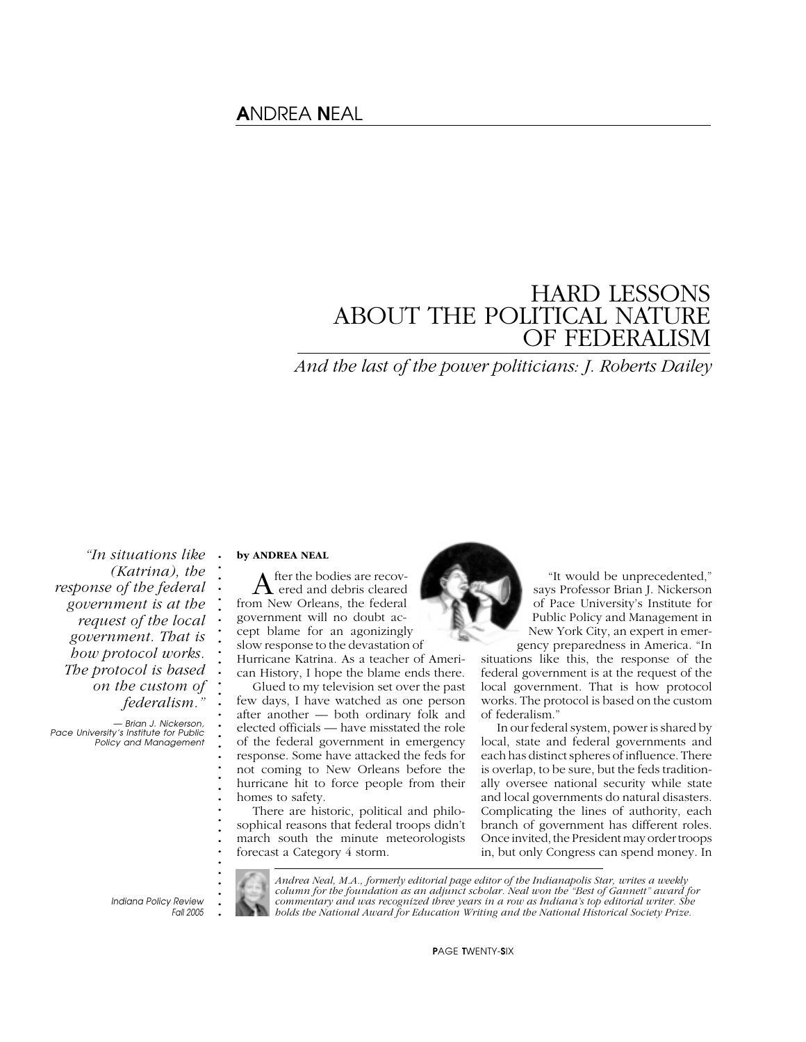# A*NDREA* N*EAL*

# HARD LESSONS ABOUT THE POLITICAL NATURE OF FEDERALISM

*And the last of the power politicians: J. Roberts Dailey*

*"In situations like (Katrina), the response of the federal government is at the request of the local government. That is how protocol works. The protocol is based on the custom of federalism."*

*— Brian J. Nickerson, Pace University's Institute for Public Policy and Management* **by ANDREA NEAL**

**. . . . . . . . . . . . . . . . . . . . . . . . . . . . . . .**

After the bodies are recov-<br>ered and debris cleared from New Orleans, the federal government will no doubt accept blame for an agonizingly slow response to the devastation of

Hurricane Katrina. As a teacher of American History, I hope the blame ends there.

Glued to my television set over the past few days, I have watched as one person after another — both ordinary folk and elected officials — have misstated the role of the federal government in emergency response. Some have attacked the feds for not coming to New Orleans before the hurricane hit to force people from their homes to safety.

There are historic, political and philosophical reasons that federal troops didn't march south the minute meteorologists forecast a Category 4 storm.



"It would be unprecedented," says Professor Brian J. Nickerson of Pace University's Institute for Public Policy and Management in New York City, an expert in emergency preparedness in America. "In

situations like this, the response of the federal government is at the request of the local government. That is how protocol works. The protocol is based on the custom of federalism."

In our federal system, power is shared by local, state and federal governments and each has distinct spheres of influence. There is overlap, to be sure, but the feds traditionally oversee national security while state and local governments do natural disasters. Complicating the lines of authority, each branch of government has different roles. Once invited, the President may order troops in, but only Congress can spend money. In

**.** *Indiana Policy Review Fall 2005*



*Andrea Neal, M.A., formerly editorial page editor of the Indianapolis Star, writes a weekly column for the foundation as an adjunct scholar. Neal won the "Best of Gannett" award for commentary and was recognized three years in a row as Indiana's top editorial writer. She holds the National Award for Education Writing and the National Historical Society Prize.*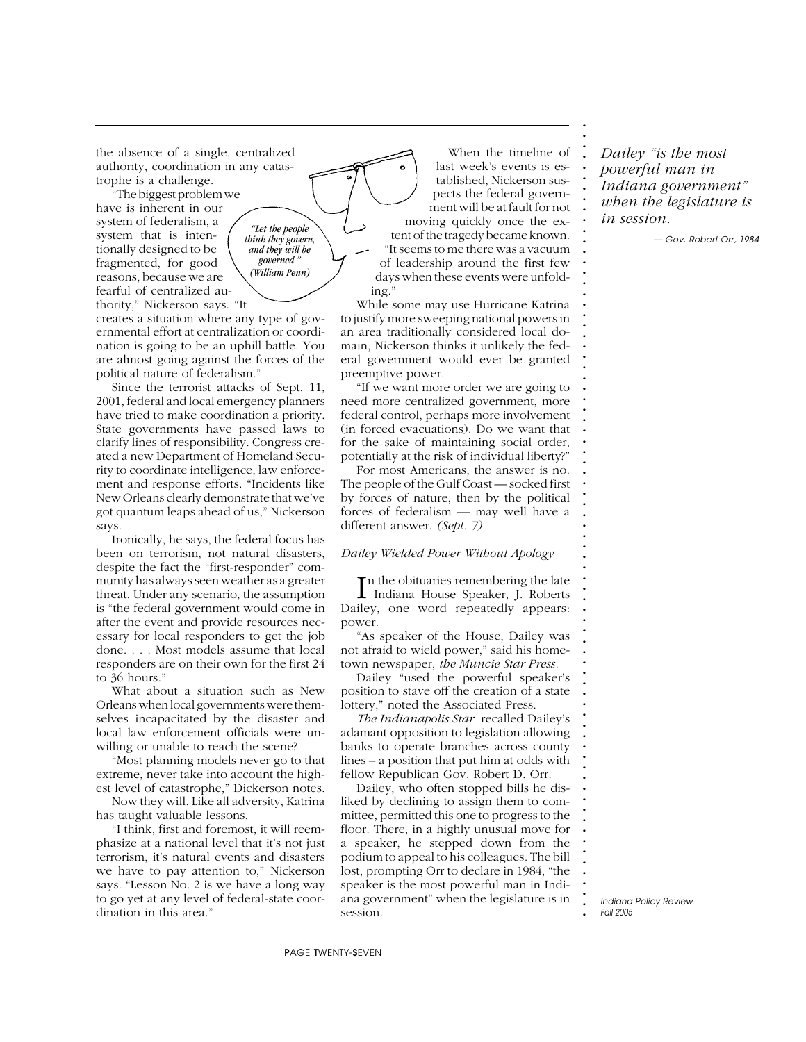the absence of a single, centralized authority, coordination in any catastrophe is a challenge.

"The biggest problem we have is inherent in our system of federalism, a system that is intentionally designed to be fragmented, for good reasons, because we are fearful of centralized authority," Nickerson says. "It

creates a situation where any type of governmental effort at centralization or coordination is going to be an uphill battle. You are almost going against the forces of the political nature of federalism."

*"Let the people think they govern, and they will be governed." (William Penn)*

Since the terrorist attacks of Sept. 11, 2001, federal and local emergency planners have tried to make coordination a priority. State governments have passed laws to clarify lines of responsibility. Congress created a new Department of Homeland Security to coordinate intelligence, law enforcement and response efforts. "Incidents like New Orleans clearly demonstrate that we've got quantum leaps ahead of us," Nickerson says.

Ironically, he says, the federal focus has been on terrorism, not natural disasters, despite the fact the "first-responder" community has always seen weather as a greater threat. Under any scenario, the assumption is "the federal government would come in after the event and provide resources necessary for local responders to get the job done. . . . Most models assume that local responders are on their own for the first 24 to 36 hours."

What about a situation such as New Orleans when local governments were themselves incapacitated by the disaster and local law enforcement officials were unwilling or unable to reach the scene?

"Most planning models never go to that extreme, never take into account the highest level of catastrophe," Dickerson notes.

Now they will. Like all adversity, Katrina has taught valuable lessons.

"I think, first and foremost, it will reemphasize at a national level that it's not just terrorism, it's natural events and disasters we have to pay attention to," Nickerson says. "Lesson No. 2 is we have a long way to go yet at any level of federal-state coordination in this area."

When the timeline of last week's events is established, Nickerson suspects the federal government will be at fault for not moving quickly once the extent of the tragedy became known. "It seems to me there was a vacuum of leadership around the first few days when these events were unfold-

While some may use Hurricane Katrina to justify more sweeping national powers in an area traditionally considered local domain, Nickerson thinks it unlikely the federal government would ever be granted preemptive power.

ing."

"If we want more order we are going to need more centralized government, more federal control, perhaps more involvement (in forced evacuations). Do we want that for the sake of maintaining social order, potentially at the risk of individual liberty?"

For most Americans, the answer is no. The people of the Gulf Coast — socked first by forces of nature, then by the political forces of federalism — may well have a different answer. *(Sept. 7)*

### *Dailey Wielded Power Without Apology*

In the obituaries remembering the late<br>Indiana House Speaker, J. Roberts **The obituaries remembering the late** Dailey, one word repeatedly appears: power.

"As speaker of the House, Dailey was not afraid to wield power," said his hometown newspaper, *the Muncie Star Press.*

Dailey "used the powerful speaker's position to stave off the creation of a state lottery," noted the Associated Press.

*The Indianapolis Star* recalled Dailey's adamant opposition to legislation allowing banks to operate branches across county lines – a position that put him at odds with fellow Republican Gov. Robert D. Orr.

Dailey, who often stopped bills he disliked by declining to assign them to committee, permitted this one to progress to the floor. There, in a highly unusual move for a speaker, he stepped down from the podium to appeal to his colleagues. The bill lost, prompting Orr to declare in 1984, "the speaker is the most powerful man in Indiana government" when the legislature is in session.

*Dailey "is the most powerful man in Indiana government" when the legislature is in session.*

**. . . . . . . . . . . . . . . . . . . . . . . . . . . . . . . . . . . . . . . . . . . . . . . . . . . . . . . . . . . . . . . . . . . . . . . . . . .**

*— Gov. Robert Orr, 1984*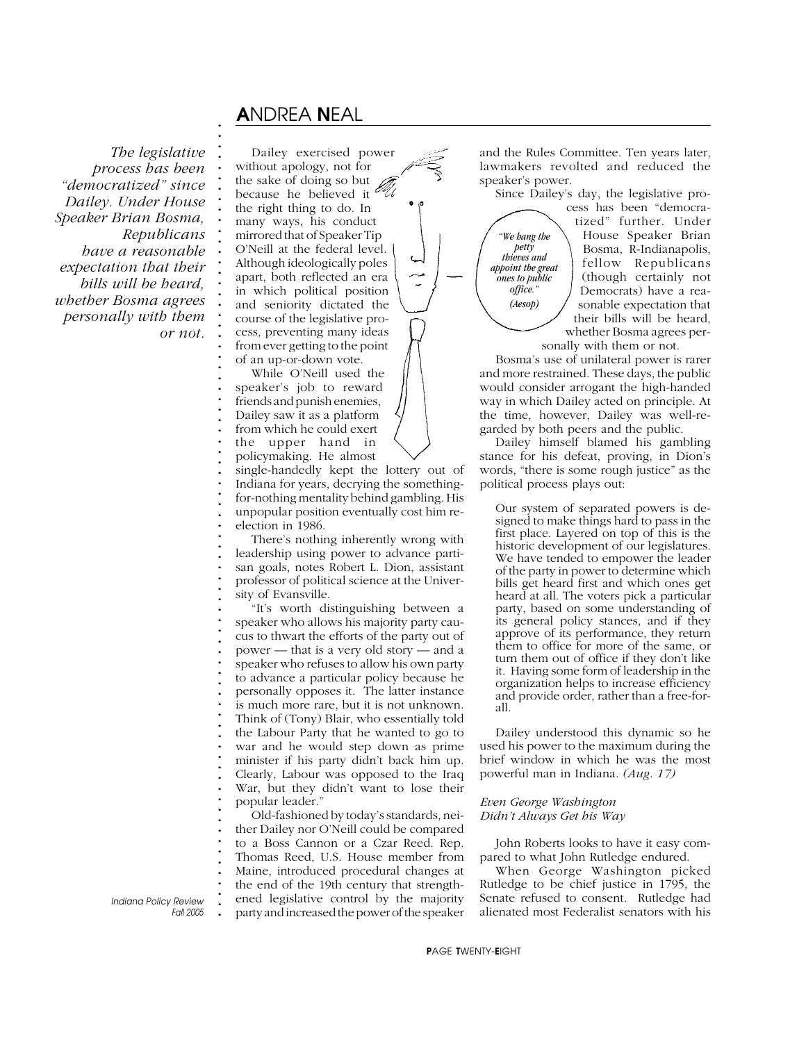# A*NDREA* N*EAL*

**. . . . . . . . . . . . . . . . . . . . . . . . . . . . . . . . . . . . . . . . . . . . . . . . . . . . . . . . . . . . . . . . . . . . . . . . . . .**

*The legislative process has been "democratized" since Dailey. Under House Speaker Brian Bosma, Republicans have a reasonable expectation that their bills will be heard, whether Bosma agrees personally with them or not.*

Dailey exercised power without apology, not for the sake of doing so but because he believed it the right thing to do. In many ways, his conduct mirrored that of Speaker Tip O'Neill at the federal level. Although ideologically poles apart, both reflected an era in which political position and seniority dictated the course of the legislative process, preventing many ideas from ever getting to the point of an up-or-down vote.

While O'Neill used the speaker's job to reward friends and punish enemies, Dailey saw it as a platform from which he could exert the upper hand in policymaking. He almost

single-handedly kept the lottery out of Indiana for years, decrying the somethingfor-nothing mentality behind gambling. His unpopular position eventually cost him reelection in 1986.

There's nothing inherently wrong with leadership using power to advance partisan goals, notes Robert L. Dion, assistant professor of political science at the University of Evansville.

"It's worth distinguishing between a speaker who allows his majority party caucus to thwart the efforts of the party out of power — that is a very old story — and a speaker who refuses to allow his own party to advance a particular policy because he personally opposes it. The latter instance is much more rare, but it is not unknown. Think of (Tony) Blair, who essentially told the Labour Party that he wanted to go to war and he would step down as prime minister if his party didn't back him up. Clearly, Labour was opposed to the Iraq War, but they didn't want to lose their popular leader."

Old-fashioned by today's standards, neither Dailey nor O'Neill could be compared to a Boss Cannon or a Czar Reed. Rep. Thomas Reed, U.S. House member from Maine, introduced procedural changes at the end of the 19th century that strengthened legislative control by the majority party and increased the power of the speaker

and the Rules Committee. Ten years later, lawmakers revolted and reduced the speaker's power.

Since Dailey's day, the legislative pro-

*"We hang the petty thieves and appoint the great ones to public office." (Aesop)*

cess has been "democratized" further. Under House Speaker Brian Bosma, R-Indianapolis, fellow Republicans (though certainly not Democrats) have a reasonable expectation that their bills will be heard, whether Bosma agrees personally with them or not.

Bosma's use of unilateral power is rarer and more restrained. These days, the public would consider arrogant the high-handed way in which Dailey acted on principle. At the time, however, Dailey was well-regarded by both peers and the public.

Dailey himself blamed his gambling stance for his defeat, proving, in Dion's words, "there is some rough justice" as the political process plays out:

Our system of separated powers is designed to make things hard to pass in the first place. Layered on top of this is the historic development of our legislatures. We have tended to empower the leader of the party in power to determine which bills get heard first and which ones get heard at all. The voters pick a particular party, based on some understanding of its general policy stances, and if they approve of its performance, they return them to office for more of the same, or turn them out of office if they don't like it. Having some form of leadership in the organization helps to increase efficiency and provide order, rather than a free-forall.

Dailey understood this dynamic so he used his power to the maximum during the brief window in which he was the most powerful man in Indiana. *(Aug. 17)*

### *Even George Washington Didn't Always Get his Way*

John Roberts looks to have it easy compared to what John Rutledge endured.

When George Washington picked Rutledge to be chief justice in 1795, the Senate refused to consent. Rutledge had alienated most Federalist senators with his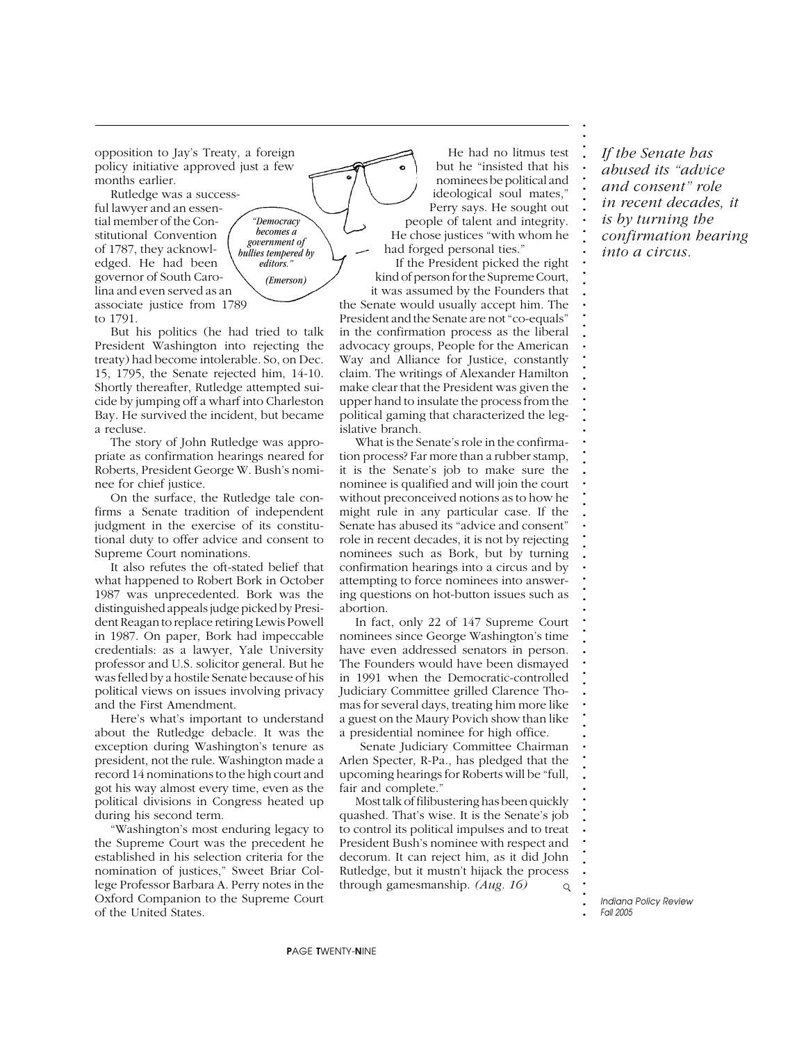opposition to Jay's Treaty, a foreign policy initiative approved just a few months earlier.

Rutledge was a successful lawyer and an essential member of the Constitutional Convention of 1787, they acknowledged. He had been governor of South Carolina and even served as an associate justice from 1789 to 1791.



But his politics (he had tried to talk President Washington into rejecting the treaty) had become intolerable. So, on Dec. 15, 1795, the Senate rejected him, 14-10. Shortly thereafter, Rutledge attempted suicide by jumping off a wharf into Charleston Bay. He survived the incident, but became a recluse.

The story of John Rutledge was appropriate as confirmation hearings neared for Roberts, President George W. Bush's nominee for chief justice.

On the surface, the Rutledge tale confirms a Senate tradition of independent judgment in the exercise of its constitutional duty to offer advice and consent to Supreme Court nominations.

It also refutes the oft-stated belief that what happened to Robert Bork in October 1987 was unprecedented. Bork was the distinguished appeals judge picked by President Reagan to replace retiring Lewis Powell in 1987. On paper, Bork had impeccable credentials: as a lawyer, Yale University professor and U.S. solicitor general. But he was felled by a hostile Senate because of his political views on issues involving privacy and the First Amendment.

Here's what's important to understand about the Rutledge debacle. It was the exception during Washington's tenure as president, not the rule. Washington made a record 14 nominations to the high court and got his way almost every time, even as the political divisions in Congress heated up during his second term.

"Washington's most enduring legacy to the Supreme Court was the precedent he established in his selection criteria for the nomination of justices," Sweet Briar College Professor Barbara A. Perry notes in the Oxford Companion to the Supreme Court of the United States.

He had no litmus test but he "insisted that his nominees be political and ideological soul mates," Perry says. He sought out people of talent and integrity. He chose justices "with whom he had forged personal ties."

If the President picked the right kind of person for the Supreme Court, it was assumed by the Founders that the Senate would usually accept him. The President and the Senate are not "co-equals" in the confirmation process as the liberal advocacy groups, People for the American Way and Alliance for Justice, constantly claim. The writings of Alexander Hamilton make clear that the President was given the upper hand to insulate the process from the political gaming that characterized the legislative branch.

What is the Senate's role in the confirmation process? Far more than a rubber stamp, it is the Senate's job to make sure the nominee is qualified and will join the court without preconceived notions as to how he might rule in any particular case. If the Senate has abused its "advice and consent" role in recent decades, it is not by rejecting nominees such as Bork, but by turning confirmation hearings into a circus and by attempting to force nominees into answering questions on hot-button issues such as abortion.

In fact, only 22 of 147 Supreme Court nominees since George Washington's time have even addressed senators in person. The Founders would have been dismayed in 1991 when the Democratic-controlled Judiciary Committee grilled Clarence Thomas for several days, treating him more like a guest on the Maury Povich show than like a presidential nominee for high office.

 Senate Judiciary Committee Chairman Arlen Specter, R-Pa., has pledged that the upcoming hearings for Roberts will be "full, fair and complete."

Most talk of filibustering has been quickly quashed. That's wise. It is the Senate's job to control its political impulses and to treat President Bush's nominee with respect and decorum. It can reject him, as it did John Rutledge, but it mustn't hijack the process through gamesmanship. *(Aug. 16)*  $\mathsf{Q}$  *If the Senate has abused its "advice and consent" role in recent decades, it is by turning the confirmation hearing into a circus.*

**. . . . . . . . . . . . . . . . . . . . . . . . . . . . . . . . . . . . . . . . . . . . . . . . . . . . . . . . . . . . . . . . . . . . . . . . . . .**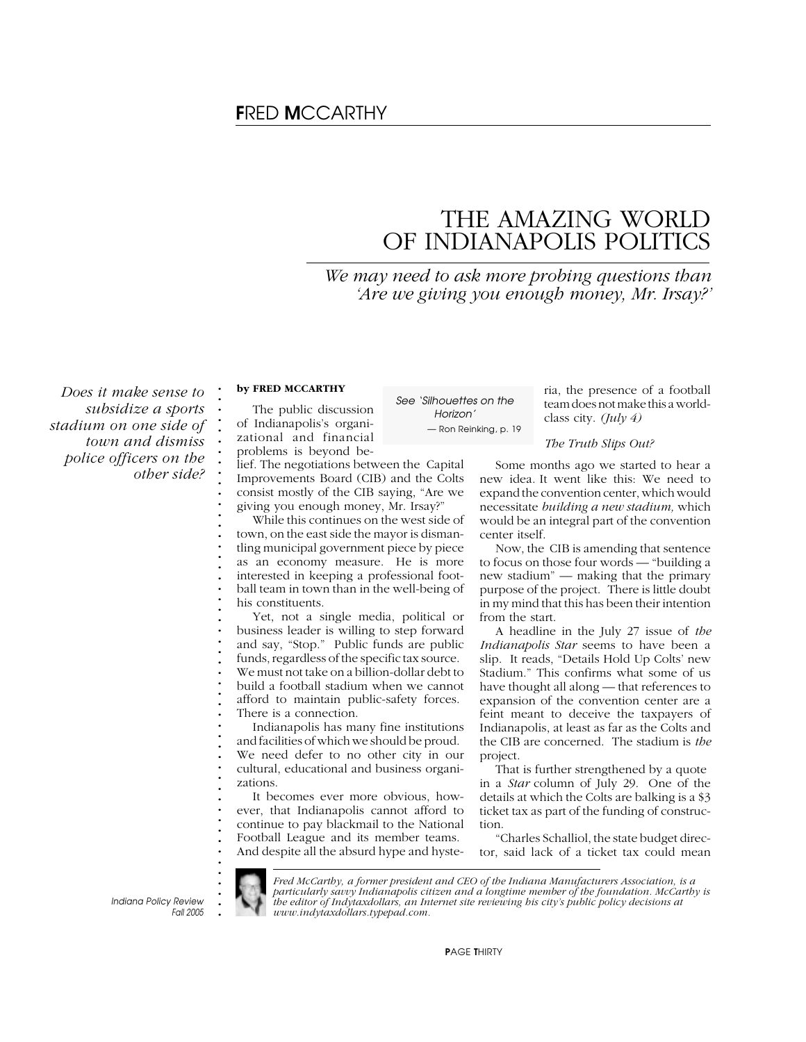# F*RED* M*CCARTHY*

# THE AMAZING WORLD OF INDIANAPOLIS POLITICS

*We may need to ask more probing questions than 'Are we giving you enough money, Mr. Irsay?'*

*Does it make sense to subsidize a sports stadium on one side of town and dismiss police officers on the other side?*

## **by FRED MCCARTHY**

**. . . . . . . . . . . . . . . . . . . . . . . . . . . . . . . . . . . . . . . . . . . . . . . . . .**

The public discussion of Indianapolis's organizational and financial problems is beyond belief. The negotiations between the Capital

Improvements Board (CIB) and the Colts consist mostly of the CIB saying, "Are we giving you enough money, Mr. Irsay?"

While this continues on the west side of town, on the east side the mayor is dismantling municipal government piece by piece as an economy measure. He is more interested in keeping a professional football team in town than in the well-being of his constituents.

Yet, not a single media, political or business leader is willing to step forward and say, "Stop." Public funds are public funds, regardless of the specific tax source. We must not take on a billion-dollar debt to build a football stadium when we cannot afford to maintain public-safety forces. There is a connection.

Indianapolis has many fine institutions and facilities of which we should be proud. We need defer to no other city in our cultural, educational and business organizations.

It becomes ever more obvious, however, that Indianapolis cannot afford to continue to pay blackmail to the National Football League and its member teams. And despite all the absurd hype and hyste-

*See 'Silhouettes on the Horizon' — Ron Reinking, p. 19*

ria, the presence of a football team does not make this a worldclass city. *(July 4)*

#### *The Truth Slips Out?*

Some months ago we started to hear a new idea. It went like this: We need to expand the convention center, which would necessitate *building a new stadium,* which would be an integral part of the convention center itself.

Now, the CIB is amending that sentence to focus on those four words — "building a new stadium" — making that the primary purpose of the project. There is little doubt in my mind that this has been their intention from the start.

A headline in the July 27 issue of *the Indianapolis Star* seems to have been a slip. It reads, "Details Hold Up Colts' new Stadium." This confirms what some of us have thought all along — that references to expansion of the convention center are a feint meant to deceive the taxpayers of Indianapolis, at least as far as the Colts and the CIB are concerned. The stadium is *the* project.

That is further strengthened by a quote in a *Star* column of July 29. One of the details at which the Colts are balking is a \$3 ticket tax as part of the funding of construction.

"Charles Schalliol, the state budget director, said lack of a ticket tax could mean

**.** *Indiana Policy Review Fall 2005*

*Fred McCarthy, a former president and CEO of the Indiana Manufacturers Association, is a particularly savvy Indianapolis citizen and a longtime member of the foundation. McCarthy is the editor of Indytaxdollars, an Internet site reviewing his city's public policy decisions at www.indytaxdollars.typepad.com.*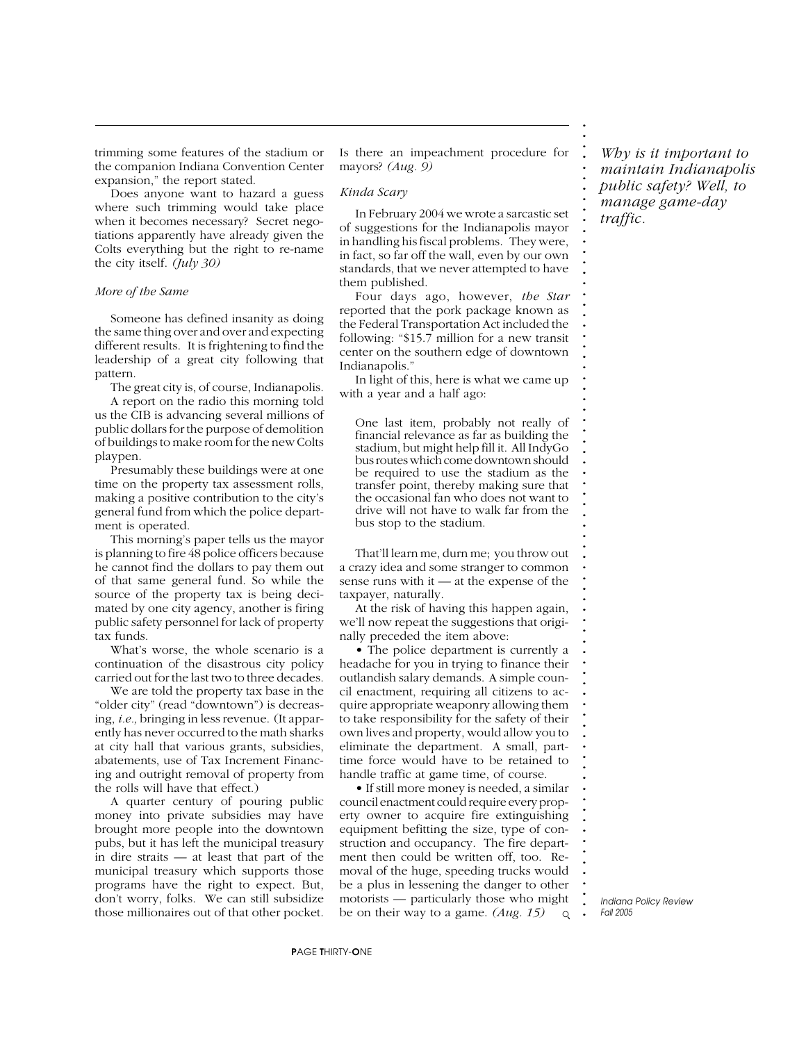trimming some features of the stadium or the companion Indiana Convention Center expansion," the report stated.

Does anyone want to hazard a guess where such trimming would take place when it becomes necessary? Secret negotiations apparently have already given the Colts everything but the right to re-name the city itself. *(July 30)*

#### *More of the Same*

Someone has defined insanity as doing the same thing over and over and expecting different results. It is frightening to find the leadership of a great city following that pattern.

The great city is, of course, Indianapolis.

A report on the radio this morning told us the CIB is advancing several millions of public dollars for the purpose of demolition of buildings to make room for the new Colts playpen.

Presumably these buildings were at one time on the property tax assessment rolls, making a positive contribution to the city's general fund from which the police department is operated.

This morning's paper tells us the mayor is planning to fire 48 police officers because he cannot find the dollars to pay them out of that same general fund. So while the source of the property tax is being decimated by one city agency, another is firing public safety personnel for lack of property tax funds.

What's worse, the whole scenario is a continuation of the disastrous city policy carried out for the last two to three decades.

We are told the property tax base in the "older city" (read "downtown") is decreasing, *i.e.,* bringing in less revenue. (It apparently has never occurred to the math sharks at city hall that various grants, subsidies, abatements, use of Tax Increment Financing and outright removal of property from the rolls will have that effect.)

A quarter century of pouring public money into private subsidies may have brought more people into the downtown pubs, but it has left the municipal treasury in dire straits — at least that part of the municipal treasury which supports those programs have the right to expect. But, don't worry, folks. We can still subsidize those millionaires out of that other pocket. Is there an impeachment procedure for mayors? *(Aug. 9)*

#### *Kinda Scary*

In February 2004 we wrote a sarcastic set of suggestions for the Indianapolis mayor in handling his fiscal problems. They were, in fact, so far off the wall, even by our own standards, that we never attempted to have them published.

Four days ago, however, *the Star* reported that the pork package known as the Federal Transportation Act included the following: "\$15.7 million for a new transit center on the southern edge of downtown Indianapolis."

In light of this, here is what we came up with a year and a half ago:

One last item, probably not really of financial relevance as far as building the stadium, but might help fill it. All IndyGo bus routes which come downtown should be required to use the stadium as the transfer point, thereby making sure that the occasional fan who does not want to drive will not have to walk far from the bus stop to the stadium.

That'll learn me, durn me; you throw out a crazy idea and some stranger to common sense runs with it — at the expense of the taxpayer, naturally.

At the risk of having this happen again, we'll now repeat the suggestions that originally preceded the item above:

• The police department is currently a headache for you in trying to finance their outlandish salary demands. A simple council enactment, requiring all citizens to acquire appropriate weaponry allowing them to take responsibility for the safety of their own lives and property, would allow you to eliminate the department. A small, parttime force would have to be retained to handle traffic at game time, of course.

• If still more money is needed, a similar council enactment could require every property owner to acquire fire extinguishing equipment befitting the size, type of construction and occupancy. The fire department then could be written off, too. Removal of the huge, speeding trucks would be a plus in lessening the danger to other motorists — particularly those who might be on their way to a game. *(Aug. 15)*  $\circ$ 

*Why is it important to maintain Indianapolis public safety? Well, to manage game-day traffic.*

**. . . . . . . . . . . . . . . . . . . . . . . . . . . . . . . . . . . . . . . . . . . . . . . . . . . . . . . . . . . . . . . . . . . . . . . . . . .**